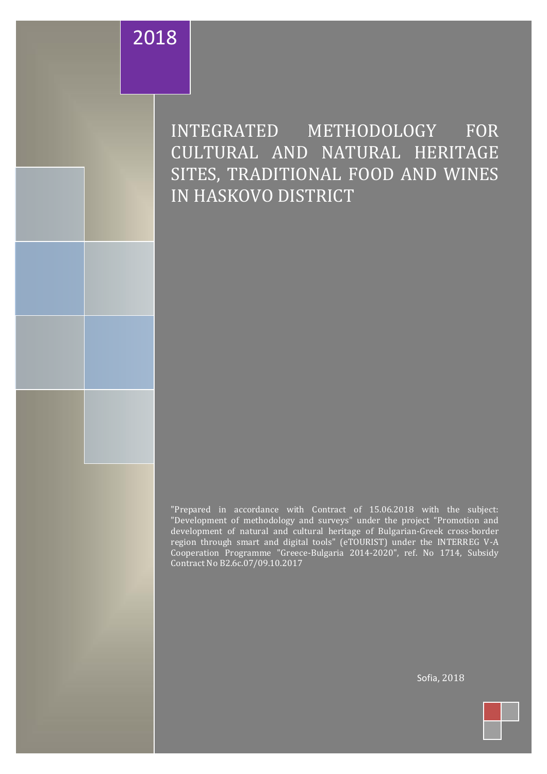# 2018

INTEGRATED METHODOLOGY FOR CULTURAL AND NATURAL HERITAGE SITES, TRADITIONAL FOOD AND WINES IN HASKOVO DISTRICT

"Prepared in accordance with Contract of 15.06.2018 with the subject: "Development of methodology and surveys" under the project "Promotion and development of natural and cultural heritage of Bulgarian-Greek cross-border region through smart and digital tools" (eTOURIST) under the INTERREG V-A Cooperation Programme "Greece-Bulgaria 2014-2020", ref. No 1714, Subsidy Contract No B2.6c.07/09.10.2017

This document has been created within the framework of the project"Promotion and development of natural and cultural heritage of the Bulgarian-Greek cross-border region through smart and digital tools" (eTOURIST), financed under the INTERREG VA Cooperation Programme2 "Greece-Bulgaria 2014 -2020 ", Subsidy Contract No B2.6c. 07/09.10.2017 The Project is

smart and digital tools" (eTOURIST), financed under the INTERREG V-A Cooperation Program "Greece-Bulgaria 2014 co funded by the European Regional Development Fund and by national funds of the countries participating in the Interreg V-A "Greece - Bulgaria 2014-2020" Cooperation Programme."

 $\sim$  100  $\,$   $\sim$  100  $\,$   $\sim$  100  $\,$   $\sim$  100  $\,$   $\sim$  100  $\,$   $\sim$  50  $\,$  50  $\,$  50  $\,$   $\sim$  50  $\,$   $\sim$  50  $\,$   $\sim$  50  $\,$   $\sim$  50  $\,$   $\sim$  50  $\,$   $\sim$  50  $\,$   $\sim$  50  $\,$   $\sim$  50  $\,$   $\sim$  50  $\,$   $\sim$ 

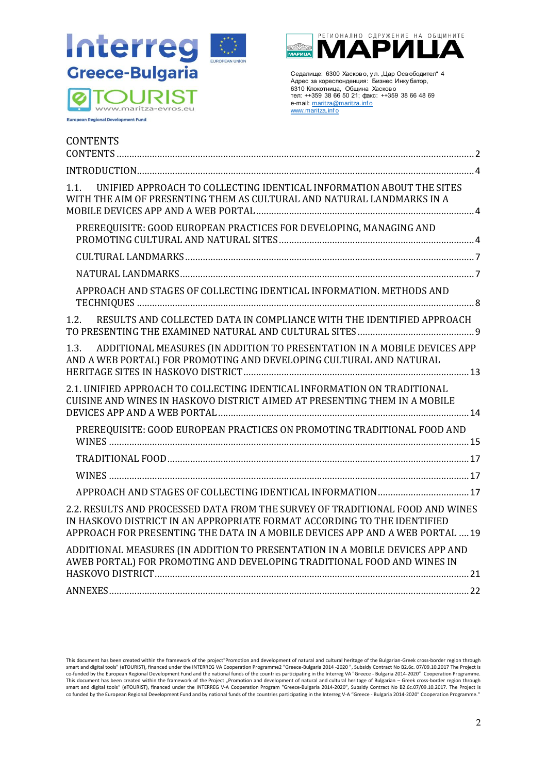

**European Regional Development Fund** 



Седалище: 6300 Хасково, у л. "Цар Освободител" 4 Адрес за кореспонденция: Бизнес Инку батор, 6310 Клокотница, Община Хасково тел: ++359 38 66 50 21; факс: ++359 38 66 48 69 e-mail: maritza@maritza.info www.maritza.info

<span id="page-1-0"></span>

| <b>CONTENTS</b>                                                                                                                                                                                                                            |  |
|--------------------------------------------------------------------------------------------------------------------------------------------------------------------------------------------------------------------------------------------|--|
|                                                                                                                                                                                                                                            |  |
| UNIFIED APPROACH TO COLLECTING IDENTICAL INFORMATION ABOUT THE SITES<br>1.1.<br>WITH THE AIM OF PRESENTING THEM AS CULTURAL AND NATURAL LANDMARKS IN A                                                                                     |  |
| PREREQUISITE: GOOD EUROPEAN PRACTICES FOR DEVELOPING, MANAGING AND                                                                                                                                                                         |  |
|                                                                                                                                                                                                                                            |  |
|                                                                                                                                                                                                                                            |  |
| APPROACH AND STAGES OF COLLECTING IDENTICAL INFORMATION. METHODS AND                                                                                                                                                                       |  |
| RESULTS AND COLLECTED DATA IN COMPLIANCE WITH THE IDENTIFIED APPROACH<br>1.2.                                                                                                                                                              |  |
| 1.3.<br>ADDITIONAL MEASURES (IN ADDITION TO PRESENTATION IN A MOBILE DEVICES APP<br>AND A WEB PORTAL) FOR PROMOTING AND DEVELOPING CULTURAL AND NATURAL                                                                                    |  |
| 2.1. UNIFIED APPROACH TO COLLECTING IDENTICAL INFORMATION ON TRADITIONAL<br>CUISINE AND WINES IN HASKOVO DISTRICT AIMED AT PRESENTING THEM IN A MOBILE                                                                                     |  |
| PREREQUISITE: GOOD EUROPEAN PRACTICES ON PROMOTING TRADITIONAL FOOD AND                                                                                                                                                                    |  |
|                                                                                                                                                                                                                                            |  |
|                                                                                                                                                                                                                                            |  |
|                                                                                                                                                                                                                                            |  |
| 2.2. RESULTS AND PROCESSED DATA FROM THE SURVEY OF TRADITIONAL FOOD AND WINES<br>IN HASKOVO DISTRICT IN AN APPROPRIATE FORMAT ACCORDING TO THE IDENTIFIED<br>APPROACH FOR PRESENTING THE DATA IN A MOBILE DEVICES APP AND A WEB PORTAL  19 |  |
| ADDITIONAL MEASURES (IN ADDITION TO PRESENTATION IN A MOBILE DEVICES APP AND<br>AWEB PORTAL) FOR PROMOTING AND DEVELOPING TRADITIONAL FOOD AND WINES IN                                                                                    |  |
| ANNEXES.                                                                                                                                                                                                                                   |  |

This document has been created within the framework of the project"Promotion and development of natural and cultural heritage of the Bulgarian-Greek cross-border region through smart and digital tools" (eTOURIST), financed under the INTERREG VA Cooperation Programme2 "Greece-Bulgaria 2014 -2020", Subsidy Contract No B2.6c. 07/09.10.2017 The Project is<br>This document has been created within the fra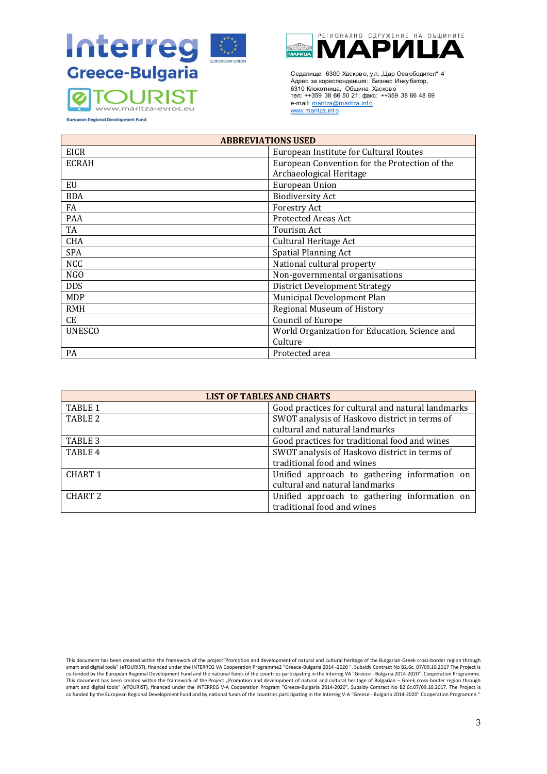



Седалище: 6300 Хасково, у л. "Цар Освободител" 4 Адрес за кореспонденция: Бизнес Инку батор, 6310 Клокотница, Община Хасково тел: ++359 38 66 50 21; факс: ++359 38 66 48 69 e-mail: maritza@maritza.info www.maritza.info

**European Regional Development Fund** 

| <b>ABBREVIATIONS USED</b> |                                               |  |
|---------------------------|-----------------------------------------------|--|
| <b>EICR</b>               | European Institute for Cultural Routes        |  |
| <b>ECRAH</b>              | European Convention for the Protection of the |  |
|                           | Archaeological Heritage                       |  |
| EU                        | European Union                                |  |
| <b>BDA</b>                | <b>Biodiversity Act</b>                       |  |
| FA                        | <b>Forestry Act</b>                           |  |
| <b>PAA</b>                | <b>Protected Areas Act</b>                    |  |
| TA                        | Tourism Act                                   |  |
| <b>CHA</b>                | Cultural Heritage Act                         |  |
| <b>SPA</b>                | <b>Spatial Planning Act</b>                   |  |
| <b>NCC</b>                | National cultural property                    |  |
| N <sub>G</sub> O          | Non-governmental organisations                |  |
| <b>DDS</b>                | <b>District Development Strategy</b>          |  |
| <b>MDP</b>                | Municipal Development Plan                    |  |
| <b>RMH</b>                | Regional Museum of History                    |  |
| CE                        | Council of Europe                             |  |
| <b>UNESCO</b>             | World Organization for Education, Science and |  |
|                           | Culture                                       |  |
| PA                        | Protected area                                |  |

| <b>LIST OF TABLES AND CHARTS</b> |                                                   |  |
|----------------------------------|---------------------------------------------------|--|
| TABLE 1                          | Good practices for cultural and natural landmarks |  |
| TABLE 2                          | SWOT analysis of Haskovo district in terms of     |  |
|                                  | cultural and natural landmarks                    |  |
| TABLE 3                          | Good practices for traditional food and wines     |  |
| TABLE 4                          | SWOT analysis of Haskovo district in terms of     |  |
|                                  | traditional food and wines                        |  |
| CHART <sub>1</sub>               | Unified approach to gathering information on      |  |
|                                  | cultural and natural landmarks                    |  |
| CHART <sub>2</sub>               | Unified approach to gathering information on      |  |
|                                  | traditional food and wines                        |  |

This document has been created within the framework of the project"Promotion and development of natural and cultural heritage of the Bulgarian-Greek cross-border region through smart and digital tools" (eTOURIST), financed under the INTERREG VA Cooperation Programme2 "Greece-Bulgaria 2014 -2020", Subsidy Contract No B2.6c. 07/09.10.2017 The Project is<br>This document has been created within the fra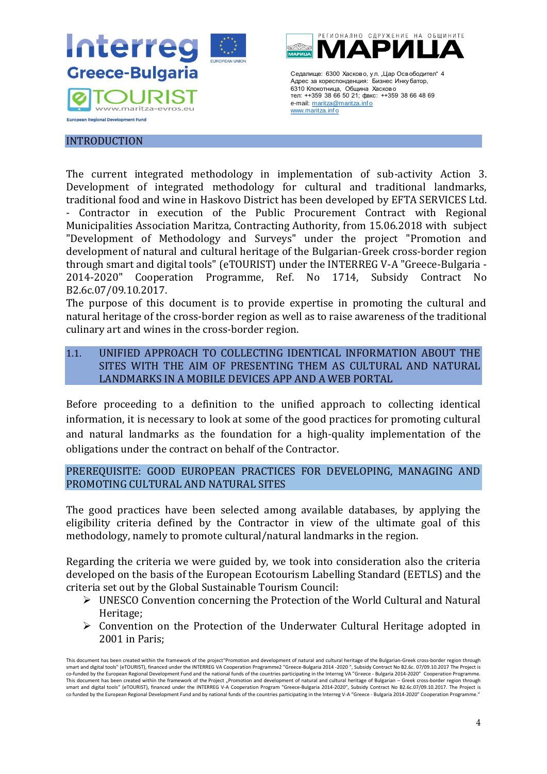

## <span id="page-3-0"></span>INTRODUCTION

The current integrated methodology in implementation of sub-activity Action 3. Development of integrated methodology for cultural and traditional landmarks, traditional food and wine in Haskovo District has been developed by EFTA SERVICES Ltd. - Contractor in execution of the Public Procurement Contract with Regional Municipalities Association Maritza, Contracting Authority, from 15.06.2018 with subject "Development of Methodology and Surveys" under the project "Promotion and development of natural and cultural heritage of the Bulgarian-Greek cross-border region through smart and digital tools" (eTOURIST) under the INTERREG V-A "Greece-Bulgaria - 2014-2020" Cooperation Programme, Ref. No 1714, Subsidy Contract No B2.6c.07/09.10.2017.

The purpose of this document is to provide expertise in promoting the cultural and natural heritage of the cross-border region as well as to raise awareness of the traditional culinary art and wines in the cross-border region.

# <span id="page-3-1"></span>1.1. UNIFIED APPROACH TO COLLECTING IDENTICAL INFORMATION ABOUT THE SITES WITH THE AIM OF PRESENTING THEM AS CULTURAL AND NATURAL LANDMARKS IN A MOBILE DEVICES APP AND A WEB PORTAL

Before proceeding to a definition to the unified approach to collecting identical information, it is necessary to look at some of the good practices for promoting cultural and natural landmarks as the foundation for a high-quality implementation of the obligations under the contract on behalf of the Contractor.

## <span id="page-3-2"></span>PREREQUISITE: GOOD EUROPEAN PRACTICES FOR DEVELOPING, MANAGING AND PROMOTING CULTURAL AND NATURAL SITES

The good practices have been selected among available databases, by applying the eligibility criteria defined by the Contractor in view of the ultimate goal of this methodology, namely to promote cultural/natural landmarks in the region.

Regarding the criteria we were guided by, we took into consideration also the criteria developed on the basis of the European Ecotourism Labelling Standard (EETLS) and the criteria set out by the Global Sustainable Tourism Council:

- ➢ UNESCO Convention concerning the Protection of the World Cultural and Natural Heritage;
- ➢ Convention on the Protection of the Underwater Cultural Heritage adopted in 2001 in Paris;

This document has been created within the framework of the project"Promotion and development of natural and cultural heritage of the Bulgarian-Greek cross-border region through smart and digital tools" (eTOURIST), financed under the INTERREG VA Cooperation Programme2 "Greece-Bulgaria 2014 -2020 ", Subsidy Contract No B2.6c. 07/09.10.2017 The Project is<br>co-funded by the European Regional Developme This document has been created within the framework of the Project "Promotion and development of natural and cultural heritage of Bulgarian – Greek cross-border region through smart and digital tools" (eTOURIST), financed under the INTERREG V-A Cooperation Program "Greece-Bulgaria 2014-2020", Subsidy Contract No B2.6c.07/09.10.2017. The Project is co funded by the European Regional Development Fund and by national funds of the countries participating in the Interreg V-A "Greece - Bulgaria 2014-2020" Cooperation Programme."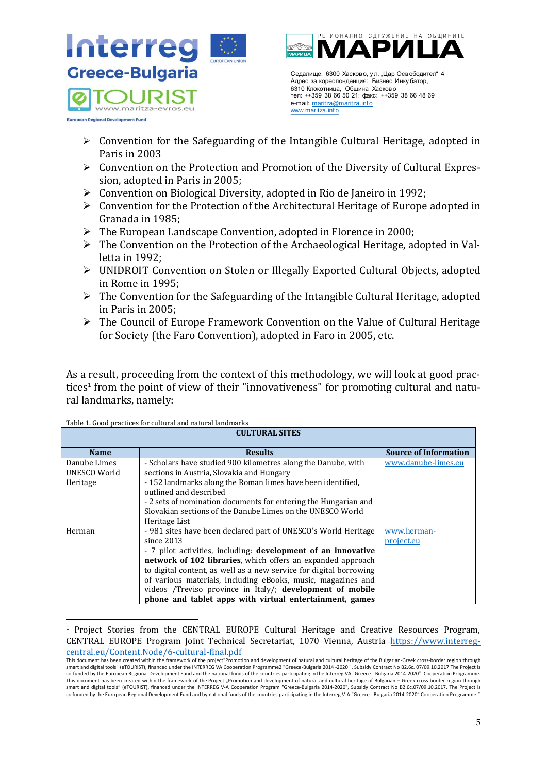

- $\triangleright$  Convention for the Safeguarding of the Intangible Cultural Heritage, adopted in Paris in 2003
- ➢ Convention on the Protection and Promotion of the Diversity of Cultural Expression, adopted in Paris in 2005;
- ➢ Convention on Biological Diversity, adopted in Rio de Janeiro in 1992;
- ➢ Convention for the Protection of the Architectural Heritage of Europe adopted in Granada in 1985;
- ➢ The European Landscape Convention, adopted in Florence in 2000;
- ➢ The Convention on the Protection of the Archaeological Heritage, adopted in Valletta in 1992;
- ➢ UNIDROIT Convention on Stolen or Illegally Exported Cultural Objects, adopted in Rome in 1995;
- ➢ The Convention for the Safeguarding of the Intangible Cultural Heritage, adopted in Paris in 2005;
- ➢ The Council of Europe Framework Convention on the Value of Cultural Heritage for Society (the Faro Convention), adopted in Faro in 2005, etc.

As a result, proceeding from the context of this methodology, we will look at good practices<sup>1</sup> from the point of view of their "innovativeness" for promoting cultural and natural landmarks, namely:

| <b>CULTURAL SITES</b> |                                                                      |                              |
|-----------------------|----------------------------------------------------------------------|------------------------------|
| <b>Name</b>           | <b>Results</b>                                                       | <b>Source of Information</b> |
| Danube Limes          | - Scholars have studied 900 kilometres along the Danube, with        | www.danube-limes.eu          |
| UNESCO World          | sections in Austria, Slovakia and Hungary                            |                              |
| Heritage              | -152 landmarks along the Roman limes have been identified.           |                              |
|                       | outlined and described                                               |                              |
|                       | - 2 sets of nomination documents for entering the Hungarian and      |                              |
|                       | Slovakian sections of the Danube Limes on the UNESCO World           |                              |
|                       | Heritage List                                                        |                              |
| Herman                | - 981 sites have been declared part of UNESCO's World Heritage       | www.herman-                  |
|                       | since $2013$                                                         | project.eu                   |
|                       | - 7 pilot activities, including: <b>development of an innovative</b> |                              |
|                       | <b>network of 102 libraries</b> , which offers an expanded approach  |                              |
|                       | to digital content, as well as a new service for digital borrowing   |                              |
|                       | of various materials, including eBooks, music, magazines and         |                              |
|                       | videos /Treviso province in Italy/; development of mobile            |                              |
|                       | phone and tablet apps with virtual entertainment, games              |                              |

Table 1. Good practices for cultural and natural landmarks

<sup>&</sup>lt;sup>1</sup> Project Stories from the CENTRAL EUROPE Cultural Heritage and Creative Resources Program, CENTRAL EUROPE Program Joint Technical Secretariat, 1070 Vienna, Austria [https://www.interreg](https://www.interreg-central.eu/Content.Node/6-cultural-final.pdf)[central.eu/Content.Node/6-cultural-final.pdf](https://www.interreg-central.eu/Content.Node/6-cultural-final.pdf)

This document has been created within the framework of the project"Promotion and development of natural and cultural heritage of the Bulgarian-Greek cross-border region through smart and digital tools" (eTOURIST), financed under the INTERREG VA Cooperation Programme2 "Greece-Bulgaria 2014 -2020 ", Subsidy Contract No B2.6c. 07/09.10.2017 The Project is<br>co-funded by the European Regional Developme This document has been created within the framework of the Project "Promotion and development of natural and cultural heritage of Bulgarian – Greek cross-border region through smart and digital tools" (eTOURIST), financed under the INTERREG V-A Cooperation Program "Greece-Bulgaria 2014-2020", Subsidy Contract No В2.6с.07/09.10.2017. The Project is co funded by the European Regional Development Fund and by national funds of the countries participating in the Interreg V-A "Greece - Bulgaria 2014-2020" Cooperation Programme.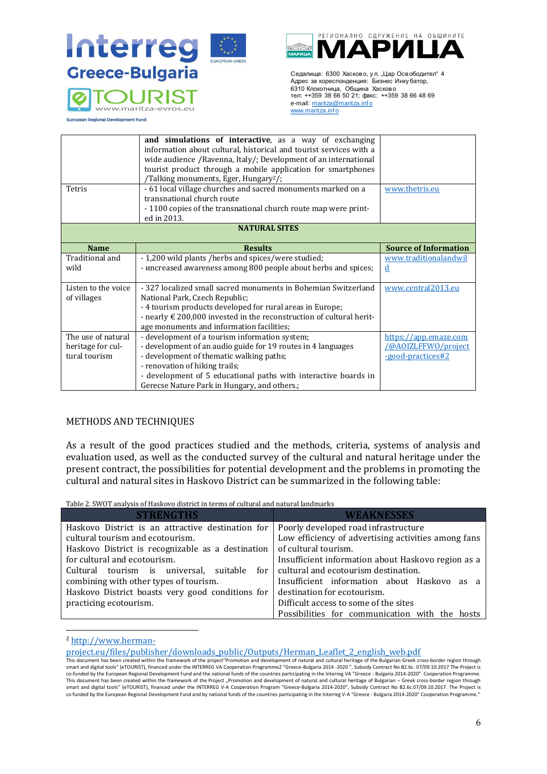



Седалище: 6300 Хасково, у л. "Цар Освободител" 4 Адрес за кореспонденция: Бизнес Инку батор, 6310 Клокотница, Община Хасково тел: ++359 38 66 50 21; факс: ++359 38 66 48 69 e-mail: maritza@maritza.info www.maritza.info

**European Regional Development Fund** 

| Tetris               | and simulations of interactive, as a way of exchanging<br>information about cultural, historical and tourist services with a<br>wide audience /Ravenna, Italy/; Development of an international<br>tourist product through a mobile application for smartphones<br>/Talking monuments, Eger, Hungary <sup>2</sup> /;<br>- 61 local village churches and sacred monuments marked on a<br>transnational church route<br>- 1100 copies of the transnational church route map were print- | www.thetris.eu               |
|----------------------|---------------------------------------------------------------------------------------------------------------------------------------------------------------------------------------------------------------------------------------------------------------------------------------------------------------------------------------------------------------------------------------------------------------------------------------------------------------------------------------|------------------------------|
|                      | ed in 2013.                                                                                                                                                                                                                                                                                                                                                                                                                                                                           |                              |
| <b>NATURAL SITES</b> |                                                                                                                                                                                                                                                                                                                                                                                                                                                                                       |                              |
|                      |                                                                                                                                                                                                                                                                                                                                                                                                                                                                                       |                              |
| <b>Name</b>          | <b>Results</b>                                                                                                                                                                                                                                                                                                                                                                                                                                                                        | <b>Source of Information</b> |
| Traditional and      | - 1,200 wild plants /herbs and spices/were studied;                                                                                                                                                                                                                                                                                                                                                                                                                                   | www.traditionalandwil        |
| wild                 | - uncreased awareness among 800 people about herbs and spices;                                                                                                                                                                                                                                                                                                                                                                                                                        | d                            |
|                      |                                                                                                                                                                                                                                                                                                                                                                                                                                                                                       |                              |
| Listen to the voice  | - 327 localized small sacred monuments in Bohemian Switzerland                                                                                                                                                                                                                                                                                                                                                                                                                        | www.central2013.eu           |
| of villages          | National Park, Czech Republic;                                                                                                                                                                                                                                                                                                                                                                                                                                                        |                              |
|                      | - 4 tourism products developed for rural areas in Europe;                                                                                                                                                                                                                                                                                                                                                                                                                             |                              |
|                      | - nearly $\epsilon$ 200,000 invested in the reconstruction of cultural herit-<br>age monuments and information facilities;                                                                                                                                                                                                                                                                                                                                                            |                              |
| The use of natural   | - development of a tourism information system;                                                                                                                                                                                                                                                                                                                                                                                                                                        | https://app.emaze.com        |
| heritage for cul-    | - development of an audio guide for 19 routes in 4 languages                                                                                                                                                                                                                                                                                                                                                                                                                          | <b>@AOIZLFFWO/project</b>    |
| tural tourism        | - development of thematic walking paths;                                                                                                                                                                                                                                                                                                                                                                                                                                              | -good-practices#2            |
|                      | - renovation of hiking trails;                                                                                                                                                                                                                                                                                                                                                                                                                                                        |                              |
|                      | - development of 5 educational paths with interactive boards in                                                                                                                                                                                                                                                                                                                                                                                                                       |                              |
|                      | Gerecse Nature Park in Hungary, and others.;                                                                                                                                                                                                                                                                                                                                                                                                                                          |                              |

#### METHODS AND TECHNIQUES

As a result of the good practices studied and the methods, criteria, systems of analysis and evaluation used, as well as the conducted survey of the cultural and natural heritage under the present contract, the possibilities for potential development and the problems in promoting the cultural and natural sites in Haskovo District can be summarized in the following table:

Table 2. SWOT analysis of Haskovo district in terms of cultural and natural landmarks

| <b>STRENGTHS</b>                                  | WEAKNESSES                                          |
|---------------------------------------------------|-----------------------------------------------------|
| Haskovo District is an attractive destination for | Poorly developed road infrastructure                |
| cultural tourism and ecotourism.                  | Low efficiency of advertising activities among fans |
| Haskovo District is recognizable as a destination | of cultural tourism.                                |
| for cultural and ecotourism.                      | Insufficient information about Haskovo region as a  |
| Cultural tourism is universal, suitable           | for   cultural and ecotourism destination.          |
| combining with other types of tourism.            | Insufficient information about Haskovo as a         |
| Haskovo District boasts very good conditions for  | destination for ecotourism.                         |
| practicing ecotourism.                            | Difficult access to some of the sites               |
|                                                   | Possibilities for communication with the hosts      |

<sup>2</sup> [http://www.herman-](http://www.herman-project.eu/files/publisher/downloads_public/Outputs/Herman_Leaflet_2_english_web.pdf)

[project.eu/files/publisher/downloads\\_public/Outputs/Herman\\_Leaflet\\_2\\_english\\_web.pdf](http://www.herman-project.eu/files/publisher/downloads_public/Outputs/Herman_Leaflet_2_english_web.pdf)

This document has been created within the framework of the project"Promotion and development of natural and cultural heritage of the Bulgarian-Greek cross-border region through smart and digital tools" (eTOURIST), financed under the INTERREG VA Cooperation Programme2 "Greece-Bulgaria 2014 -2020 ", Subsidy Contract No B2.6c. 07/09.10.2017 The Project is<br>co-funded by the European Regional Developme co funded by the European Regional Development Fund and by national funds of the countries participating in the Interreg V-A "Greece - Bulgaria 2014-2020" Cooperation Programme.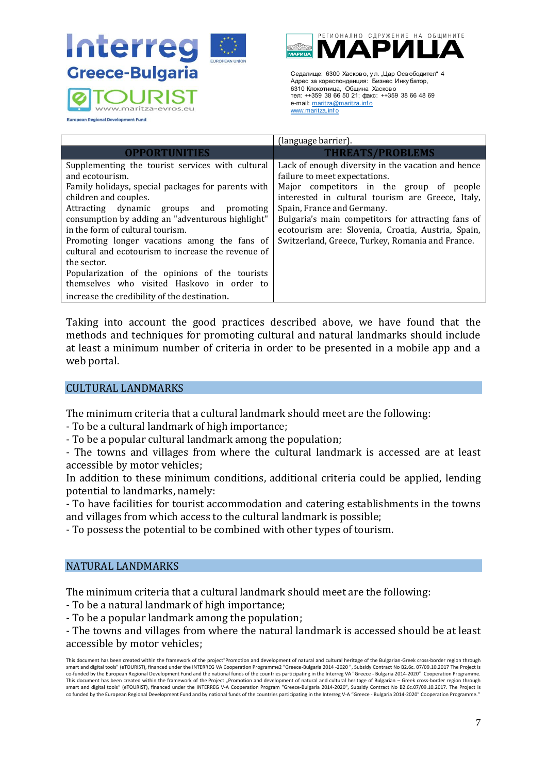



Седалище: 6300 Хасково, у л. "Цар Освободител" 4 Адрес за кореспонденция: Бизнес Инку батор, 6310 Клокотница, Община Хасково тел: ++359 38 66 50 21; факс: ++359 38 66 48 69 e-mail: maritza@maritza.info www.maritza.inf o

**European Regional Development Fund** 

|                                                                                                                                                                                                                                                                                                                                                                                                                                                                                                                                                               | (language barrier).                                                                                                                                                                                                                                                                                                                                                                |
|---------------------------------------------------------------------------------------------------------------------------------------------------------------------------------------------------------------------------------------------------------------------------------------------------------------------------------------------------------------------------------------------------------------------------------------------------------------------------------------------------------------------------------------------------------------|------------------------------------------------------------------------------------------------------------------------------------------------------------------------------------------------------------------------------------------------------------------------------------------------------------------------------------------------------------------------------------|
| <b>OPPORTUNITIES</b>                                                                                                                                                                                                                                                                                                                                                                                                                                                                                                                                          | <b>THREATS/PROBLEMS</b>                                                                                                                                                                                                                                                                                                                                                            |
| Supplementing the tourist services with cultural<br>and ecotourism.<br>Family holidays, special packages for parents with<br>children and couples.<br>Attracting dynamic groups and<br>promoting<br>consumption by adding an "adventurous highlight"<br>in the form of cultural tourism.<br>Promoting longer vacations among the fans of<br>cultural and ecotourism to increase the revenue of<br>the sector.<br>Popularization of the opinions of the tourists<br>themselves who visited Haskovo in order to<br>increase the credibility of the destination. | Lack of enough diversity in the vacation and hence<br>failure to meet expectations.<br>Major competitors in the group of people<br>interested in cultural tourism are Greece, Italy,<br>Spain, France and Germany.<br>Bulgaria's main competitors for attracting fans of<br>ecotourism are: Slovenia, Croatia, Austria, Spain,<br>Switzerland, Greece, Turkey, Romania and France. |

Taking into account the good practices described above, we have found that the methods and techniques for promoting cultural and natural landmarks should include at least a minimum number of criteria in order to be presented in a mobile app and a web portal.

## <span id="page-6-0"></span>CULTURAL LANDMARKS

The minimum criteria that a cultural landmark should meet are the following:

- To be a cultural landmark of high importance;

- To be a popular cultural landmark among the population;

- The towns and villages from where the cultural landmark is accessed are at least accessible by motor vehicles;

In addition to these minimum conditions, additional criteria could be applied, lending potential to landmarks, namely:

- To have facilities for tourist accommodation and catering establishments in the towns and villages from which access to the cultural landmark is possible;

- To possess the potential to be combined with other types of tourism.

# <span id="page-6-1"></span>NATURAL LANDMARKS

The minimum criteria that a cultural landmark should meet are the following:

- To be a natural landmark of high importance;

- To be a popular landmark among the population;

- The towns and villages from where the natural landmark is accessed should be at least accessible by motor vehicles;

This document has been created within the framework of the project"Promotion and development of natural and cultural heritage of the Bulgarian-Greek cross-border region through smart and digital tools" (eTOURIST), financed under the INTERREG VA Cooperation Programme2 "Greece-Bulgaria 2014 -2020 ", Subsidy Contract No B2.6c. 07/09.10.2017 The Project is co-funded by the European Regional Development Fund and the national funds of the countries participating in the Interreg VA "Greece - Bulgaria 2014-2020" Cooperation Programme. This document has been created within the framework of the Project "Promotion and development of natural and cultural heritage of Bulgarian – Greek cross-border region through smart and digital tools" (eTOURIST), financed under the INTERREG V-A Cooperation Program "Greece-Bulgaria 2014-2020", Subsidy Contract No B2.6c.07/09.10.2017. The Project is co funded by the European Regional Development Fund and by national funds of the countries participating in the Interreg V-A "Greece - Bulgaria 2014-2020" Cooperation Programme."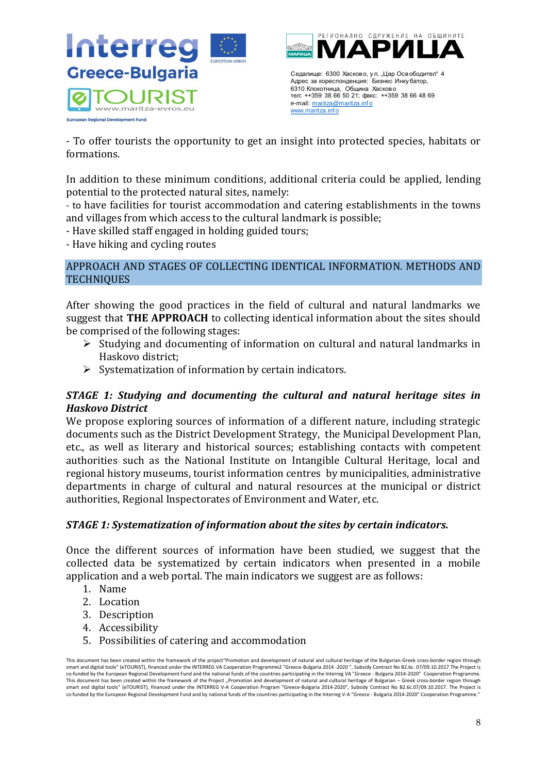

- To offer tourists the opportunity to get an insight into protected species, habitats or formations.

In addition to these minimum conditions, additional criteria could be applied, lending potential to the protected natural sites, namely:

- to have facilities for tourist accommodation and catering establishments in the towns and villages from which access to the cultural landmark is possible;

- Have skilled staff engaged in holding guided tours;

- Have hiking and cycling routes

## <span id="page-7-0"></span>APPROACH AND STAGES OF COLLECTING IDENTICAL INFORMATION. METHODS AND **TECHNIQUES**

After showing the good practices in the field of cultural and natural landmarks we suggest that **THE APPROACH** to collecting identical information about the sites should be comprised of the following stages:

- ➢ Studying and documenting of information on cultural and natural landmarks in Haskovo district;
- $\triangleright$  Systematization of information by certain indicators.

# *STAGE 1: Studying and documenting the cultural and natural heritage sites in Haskovo District*

We propose exploring sources of information of a different nature, including strategic documents such as the District Development Strategy, the Municipal Development Plan, etc., as well as literary and historical sources; establishing contacts with competent authorities such as the National Institute on Intangible Cultural Heritage, local and regional history museums, tourist information centres by municipalities, administrative departments in charge of cultural and natural resources at the municipal or district authorities, Regional Inspectorates of Environment and Water, etc.

# *STAGE 1: Systematization of information about the sites by certain indicators.*

Once the different sources of information have been studied, we suggest that the collected data be systematized by certain indicators when presented in a mobile application and a web portal. The main indicators we suggest are as follows:

- 1. Name
- 2. Location
- 3. Description
- 4. Accessibility
- 5. Possibilities of catering and accommodation

This document has been created within the framework of the project"Promotion and development of natural and cultural heritage of the Bulgarian-Greek cross-border region through smart and digital tools" (eTOURIST), financed under the INTERREG VA Cooperation Programme2 "Greece-Bulgaria 2014 -2020 ", Subsidy Contract No B2.6c. 07/09.10.2017 The Project is<br>co-funded by the European Regional Developme This document has been created within the framework of the Project "Promotion and development of natural and cultural heritage of Bulgarian – Greek cross-border region through smart and digital tools" (eTOURIST), financed under the INTERREG V-A Cooperation Program "Greece-Bulgaria 2014-2020", Subsidy Contract No B2.6c.07/09.10.2017. The Project is co funded by the European Regional Development Fund and by national funds of the countries participating in the Interreg V-A "Greece - Bulgaria 2014-2020" Cooperation Programme."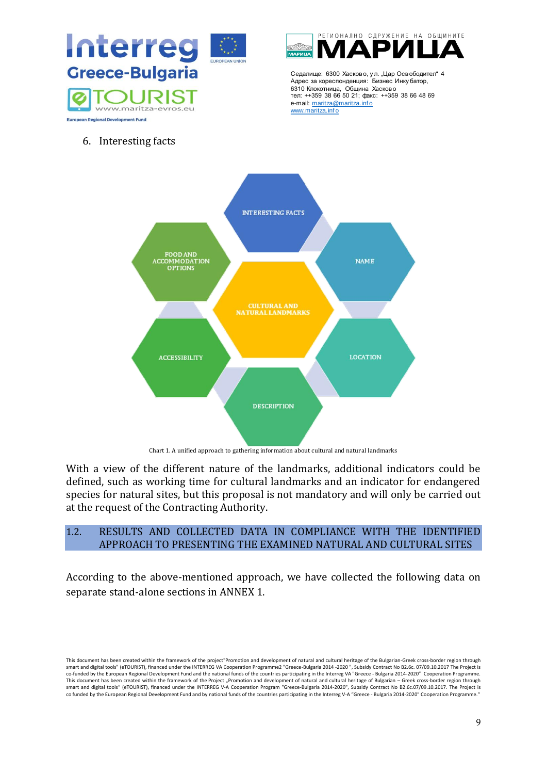



Седалище: 6300 Хасково, у л. "Цар Освободител" 4 Адрес за кореспонденция: Бизнес Инку батор, 6310 Клокотница, Община Хасково тел: ++359 38 66 50 21; факс: ++359 38 66 48 69 e-mail: maritza@maritza.info www.maritza.info

6. Interesting facts





With a view of the different nature of the landmarks, additional indicators could be defined, such as working time for cultural landmarks and an indicator for endangered species for natural sites, but this proposal is not mandatory and will only be carried out at the request of the Contracting Authority.

## <span id="page-8-0"></span>1.2. RESULTS AND COLLECTED DATA IN COMPLIANCE WITH THE IDENTIFIED APPROACH TO PRESENTING THE EXAMINED NATURAL AND CULTURAL SITES

According to the above-mentioned approach, we have collected the following data on separate stand-alone sections in ANNEX 1.

This document has been created within the framework of the project"Promotion and development of natural and cultural heritage of the Bulgarian-Greek cross-border region through smart and digital tools" (eTOURIST), financed under the INTERREG VA Cooperation Programme2 "Greece-Bulgaria 2014 -2020 ", Subsidy Contract No B2.6c. 07/09.10.2017 The Project is<br>co-funded by the European Regional Developme co funded by the European Regional Development Fund and by national funds of the countries participating in the Interreg V-A "Greece - Bulgaria 2014-2020" Cooperation Programme.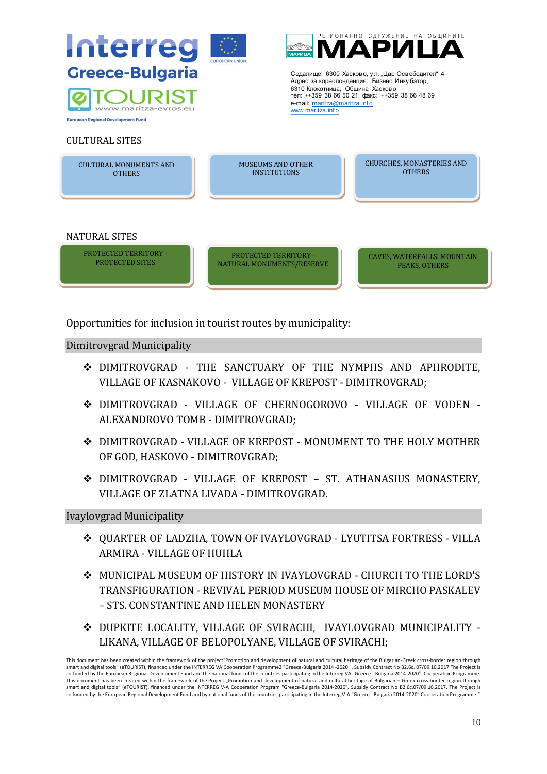

Opportunities for inclusion in tourist routes by municipality:

Dimitrovgrad Municipality

- ❖ DIMITROVGRAD THE SANCTUARY OF THE NYMPHS AND APHRODITE, VILLAGE OF KASNAKOVO - VILLAGE OF KREPOST - DIMITROVGRAD;
- ❖ DIMITROVGRAD VILLAGE OF CHERNOGOROVO VILLAGE OF VODEN ALEXANDROVO TOMB - DIMITROVGRAD;
- ❖ DIMITROVGRAD VILLAGE OF KREPOST MONUMENT TO THE HOLY MOTHER OF GOD, HASKOVO - DIMITROVGRAD;
- ❖ DIMITROVGRAD VILLAGE OF KREPOST ST. ATHANASIUS MONASTERY, VILLAGE OF ZLATNA LIVADA - DIMITROVGRAD.

Ivaylovgrad Municipality

- ❖ QUARTER OF LADZHA, TOWN OF IVAYLOVGRAD LYUTITSA FORTRESS VILLA ARMIRA - VILLAGE OF HUHLA
- ❖ MUNICIPAL MUSEUM OF HISTORY IN IVAYLOVGRAD CHURCH TO THE LORD'S TRANSFIGURATION - REVIVAL PERIOD MUSEUM HOUSE OF MIRCHO PASKALEV – STS. CONSTANTINE AND HELEN MONASTERY
- ❖ DUPKITE LOCALITY, VILLAGE OF SVIRACHI, IVAYLOVGRAD MUNICIPALITY LIKANA, VILLAGE OF BELOPOLYANE, VILLAGE OF SVIRACHI;

This document has been created within the framework of the project"Promotion and development of natural and cultural heritage of the Bulgarian-Greek cross-border region through smart and digital tools" (eTOURIST), financed under the INTERREG VA Cooperation Programme2 "Greece-Bulgaria 2014 -2020 ", Subsidy Contract No B2.6c. 07/09.10.2017 The Project is<br>co-funded by the European Regional Developme This document has been created within the framework of the Project "Promotion and development of natural and cultural heritage of Bulgarian – Greek cross-border region through<br>smart and digital tools" (eTOURIST), financed co funded by the European Regional Development Fund and by national funds of the countries participating in the Interreg V-A "Greece - Bulgaria 2014-2020" Cooperation Programme.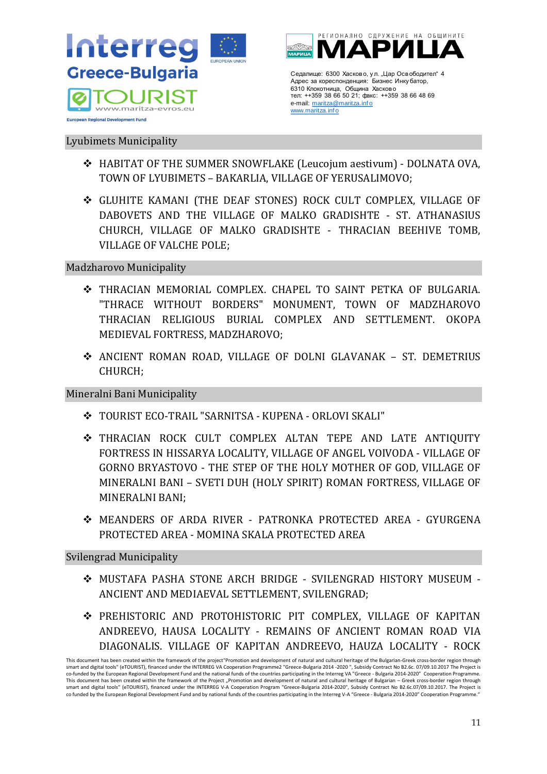

#### Lyubimets Municipality

- ❖ HABITAT OF THE SUMMER SNOWFLAKE (Leucojum aestivum) DOLNATA OVA, TOWN OF LYUBIMETS – BAKARLIA, VILLAGE OF YERUSALIMOVO;
- ❖ GLUHITE KAMANI (THE DEAF STONES) ROCK CULT COMPLEX, VILLAGE OF DABOVETS AND THE VILLAGE OF MALKO GRADISHTE - ST. ATHANASIUS CHURCH, VILLAGE OF MALKO GRADISHTE - THRACIAN BEEHIVE TOMB, VILLAGE OF VALCHE POLE;

## Madzharovo Municipality

- ❖ THRACIAN MEMORIAL COMPLEX. CHAPEL TO SAINT PETKA OF BULGARIA. "THRACE WITHOUT BORDERS" MONUMENT, TOWN OF MADZHAROVO THRACIAN RELIGIOUS BURIAL COMPLEX AND SETTLEMENT. OKOPA MEDIEVAL FORTRESS, MADZHAROVO;
- ❖ ANCIENT ROMAN ROAD, VILLAGE OF DOLNI GLAVANAK ST. DEMETRIUS CHURCH;

## Mineralni Bani Municipality

- ❖ TOURIST ECO-TRAIL "SARNITSA KUPENA ORLOVI SKALI"
- Ceannum 6500 Xeneto, yn Llap Oceanner artistan (1971)<br>
There is more and to be a summer and the set of the set of the set of the set of the set of the set of the set of the set of the set of the set of the set of the set o ❖ THRACIAN ROCK CULT COMPLEX ALTAN TEPE AND LATE ANTIQUITY FORTRESS IN HISSARYA LOCALITY, VILLAGE OF ANGEL VOIVODA - VILLAGE OF GORNO BRYASTOVO - THE STEP OF THE HOLY MOTHER OF GOD, VILLAGE OF MINERALNI BANI – SVETI DUH (HOLY SPIRIT) ROMAN FORTRESS, VILLAGE OF MINERALNI BANI;
- ❖ MEANDERS OF ARDA RIVER PATRONKA PROTECTED AREA GYURGENA PROTECTED AREA - MOMINA SKALA PROTECTED AREA

## Svilengrad Municipality

- ❖ MUSTAFA PASHA STONE ARCH BRIDGE SVILENGRAD HISTORY MUSEUM ANCIENT AND MEDIAEVAL SETTLEMENT, SVILENGRAD;
- ❖ PREHISTORIC AND PROTOHISTORIC PIT COMPLEX, VILLAGE OF KAPITAN ANDREEVO, HAUSA LOCALITY - REMAINS OF ANCIENT ROMAN ROAD VIA DIAGONALIS. VILLAGE OF KAPITAN ANDREEVO, HAUZA LOCALITY - ROCK

This document has been created within the framework of the project"Promotion and development of natural and cultural heritage of the Bulgarian-Greek cross-border region through smart and digital tools" (eTOURIST), financed under the INTERREG VA Cooperation Programme2 "Greece-Bulgaria 2014 -2020 ", Subsidy Contract No B2.6c. 07/09.10.2017 The Project is<br>co-funded by the European Regional Developme This document has been created within the framework of the Project "Promotion and development of natural and cultural heritage of Bulgarian – Greek cross-border region through smart and digital tools" (eTOURIST), financed under the INTERREG V-A Cooperation Program "Greece-Bulgaria 2014-2020", Subsidy Contract No B2.6c.07/09.10.2017. The Project is co funded by the European Regional Development Fund and by national funds of the countries participating in the Interreg V-A "Greece - Bulgaria 2014-2020" Cooperation Programme.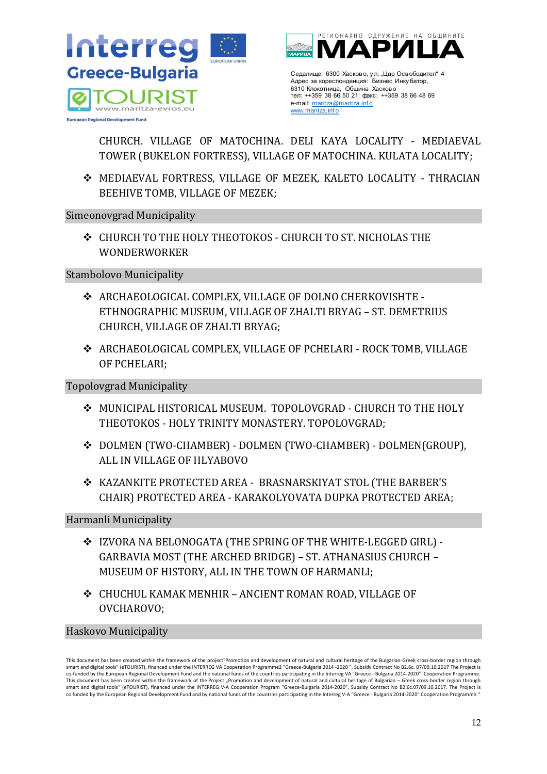



Адрес за кореспонденция: Бизнес Инку батор, 6310 Клокотница, Община Хасково тел: ++359 38 66 50 21; факс: ++359 38 66 48 69 e-mail: maritza@maritza.info www.maritza.inf o

CHURCH. VILLAGE OF MATOCHINA. DELI KAYA LOCALITY - MEDIAEVAL TOWER (BUKELON FORTRESS), VILLAGE OF MATOCHINA. KULATA LOCALITY;

❖ MEDIAEVAL FORTRESS, VILLAGE OF MEZEK, KALETO LOCALITY - THRACIAN BEEHIVE TOMB, VILLAGE OF MEZEK;

Simeonovgrad Municipality

❖ CHURCH TO THE HOLY THEOTOKOS - CHURCH TO ST. NICHOLAS THE WONDERWORKER

Stambolovo Municipality

- ❖ ARCHAEOLOGICAL COMPLEX, VILLAGE OF DOLNO CHERKOVISHTE ETHNOGRAPHIC MUSEUM, VILLAGE OF ZHALTI BRYAG – ST. DEMETRIUS CHURCH, VILLAGE OF ZHALTI BRYAG;
- ❖ ARCHAEOLOGICAL COMPLEX, VILLAGE OF PCHELARI ROCK TOMB, VILLAGE OF PCHELARI;

## Topolovgrad Municipality

- ❖ MUNICIPAL HISTORICAL MUSEUM. TOPOLOVGRAD CHURCH TO THE HOLY THEOTOKOS - HOLY TRINITY MONASTERY. TOPOLOVGRAD;
- ❖ DOLMEN (TWO-CHAMBER) DOLMEN (TWO-CHAMBER) DOLMEN(GROUP), ALL IN VILLAGE OF HLYABOVO
- ❖ KAZANKITE PROTECTED AREA BRASNARSKIYAT STOL (THE BARBER'S CHAIR) PROTECTED AREA - KARAKOLYOVATA DUPKA PROTECTED AREA;

Harmanli Municipality

- ❖ IZVORA NA BELONOGATA (THE SPRING OF THE WHITE-LEGGED GIRL) GARBAVIA MOST (THE ARCHED BRIDGE) – ST. ATHANASIUS CHURCH – MUSEUM OF HISTORY, ALL IN THE TOWN OF HARMANLI;
- ❖ CHUCHUL KAMAK MENHIR ANCIENT ROMAN ROAD, VILLAGE OF OVCHAROVO;

# Haskovo Municipality

This document has been created within the framework of the project"Promotion and development of natural and cultural heritage of the Bulgarian-Greek cross-border region through smart and digital tools" (eTOURIST), financed under the INTERREG VA Cooperation Programme2 "Greece-Bulgaria 2014 -2020 ", Subsidy Contract No B2.6c. 07/09.10.2017 The Project is<br>co-funded by the European Regional Developme This document has been created within the framework of the Project "Promotion and development of natural and cultural heritage of Bulgarian – Greek cross-border region through<br>smart and digital tools" (eTOURIST), financed co funded by the European Regional Development Fund and by national funds of the countries participating in the Interreg V-A "Greece - Bulgaria 2014-2020" Cooperation Programme." Cearance SSO Seconds yn , Lille, Genedomer 1<br>
Mark an Someon Seconds yn , Lille, Genedomer 1<br>
ment - 1250 Si 60 State (ment - 1250 Si 60 State (ment - 1250 Si 60 State (ment - 1250 Si 60 State (ment - 1250 Si 60 State (me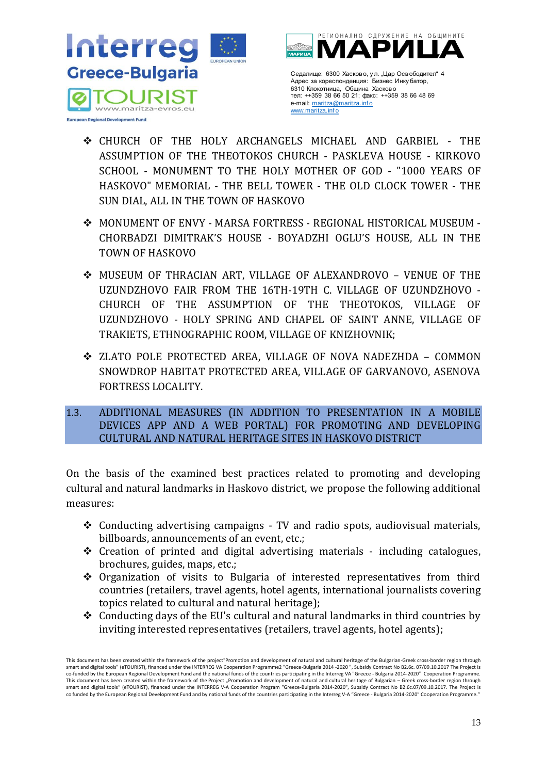

- ❖ CHURCH OF THE HOLY ARCHANGELS MICHAEL AND GARBIEL THE ASSUMPTION OF THE THEOTOKOS CHURCH - PASKLEVA HOUSE - KIRKOVO SCHOOL - MONUMENT TO THE HOLY MOTHER OF GOD - "1000 YEARS OF HASKOVO" MEMORIAL - THE BELL TOWER - THE OLD CLOCK TOWER - THE SUN DIAL, ALL IN THE TOWN OF HASKOVO
- ❖ MONUMENT OF ENVY MARSA FORTRESS REGIONAL HISTORICAL MUSEUM CHORBADZI DIMITRAK'S HOUSE - BOYADZHI OGLU'S HOUSE, ALL IN THE TOWN OF HASKOVO
- Cearance SSO Assess yn Jilay Goreony or Historical Cearance<br>
New Solutions (1998)<br>
13 Cearance Ministers (1998)<br>
13 MICHAEL AND GARBIEL THE<br>
URCH PASKLEVA HOUSE KIRKOVO<br>
MOTHER OF GOD "1000 YEARS OF<br>
2000 YEARS OF ❖ MUSEUM OF THRACIAN ART, VILLAGE OF ALEXANDROVO – VENUE OF THE UZUNDZHOVO FAIR FROM THE 16TH-19TH C. VILLAGE OF UZUNDZHOVO - CHURCH OF THE ASSUMPTION OF THE THEOTOKOS, VILLAGE OF UZUNDZHOVO - HOLY SPRING AND CHAPEL OF SAINT ANNЕ, VILLAGE OF TRAKIETS, ETHNOGRAPHIC ROOM, VILLAGE OF KNIZHOVNIK;
- ❖ ZLATO POLE PROTECTED AREA, VILLAGE OF NOVA NADEZHDA COMMON SNOWDROP HABITAT PROTECTED AREA, VILLAGE OF GARVANOVO, ASENOVA FORTRESS LOCALITY.
- <span id="page-12-0"></span>1.3. ADDITIONAL MEASURES (IN ADDITION TO PRESENTATION IN A MOBILE DEVICES APP AND A WEB PORTAL) FOR PROMOTING AND DEVELOPING CULTURAL AND NATURAL HERITAGE SITES IN HASKOVO DISTRICT

On the basis of the examined best practices related to promoting and developing cultural and natural landmarks in Haskovo district, we propose the following additional measures:

- ❖ Conducting advertising campaigns TV and radio spots, audiovisual materials, billboards, announcements of an event, etc.;
- ❖ Creation of printed and digital advertising materials including catalogues, brochures, guides, maps, etc.;
- ❖ Organization of visits to Bulgaria of interested representatives from third countries (retailers, travel agents, hotel agents, international journalists covering topics related to cultural and natural heritage);
- ❖ Conducting days of the EU's cultural and natural landmarks in third countries by inviting interested representatives (retailers, travel agents, hotel agents);

This document has been created within the framework of the project"Promotion and development of natural and cultural heritage of the Bulgarian-Greek cross-border region through smart and digital tools" (eTOURIST), financed under the INTERREG VA Cooperation Programme2 "Greece-Bulgaria 2014 -2020 ", Subsidy Contract No B2.6c. 07/09.10.2017 The Project is<br>co-funded by the European Regional Developme This document has been created within the framework of the Project "Promotion and development of natural and cultural heritage of Bulgarian – Greek cross-border region through<br>smart and digital tools" (eTOURIST), financed co funded by the European Regional Development Fund and by national funds of the countries participating in the Interreg V-A "Greece - Bulgaria 2014-2020" Cooperation Programme."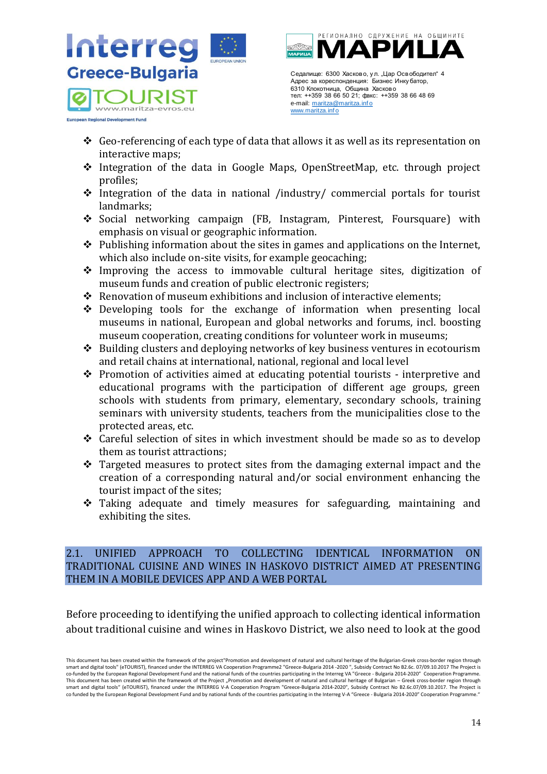

- ❖ Geo-referencing of each type of data that allows it as well as its representation on interactive maps;
- ❖ Integration of the data in Google Maps, OpenStreetMap, etc. through project profiles;
- ❖ Integration of the data in national /industry/ commercial portals for tourist landmarks;
- ❖ Social networking campaign (FB, Instagram, Pinterest, Foursquare) with emphasis on visual or geographic information.
- $\triangle$  Publishing information about the sites in games and applications on the Internet, which also include on-site visits, for example geocaching;
- $\triangle$  Improving the access to immovable cultural heritage sites, digitization of museum funds and creation of public electronic registers;
- ❖ Renovation of museum exhibitions and inclusion of interactive elements;
- ❖ Developing tools for the exchange of information when presenting local museums in national, European and global networks and forums, incl. boosting museum cooperation, creating conditions for volunteer work in museums;
- ❖ Building clusters and deploying networks of key business ventures in ecotourism and retail chains at international, national, regional and local level
- Cearance 5000 Xereno, yn, Llap OceroPhore The Higher Solen (1974)<br>
New an operator of the search of the search of the search of the search of the search of the search of the search of the search of the search of the search ❖ Promotion of activities aimed at educating potential tourists - interpretive and educational programs with the participation of different age groups, green schools with students from primary, elementary, secondary schools, training seminars with university students, teachers from the municipalities close to the protected areas, etc.
- ❖ Careful selection of sites in which investment should be made so as to develop them as tourist attractions;
- ❖ Targeted measures to protect sites from the damaging external impact and the creation of a corresponding natural and/or social environment enhancing the tourist impact of the sites;
- ❖ Taking adequate and timely measures for safeguarding, maintaining and exhibiting the sites.

# <span id="page-13-0"></span>2.1. UNIFIED APPROACH TO COLLECTING IDENTICAL INFORMATION ON TRADITIONAL CUISINE AND WINES IN HASKOVO DISTRICT AIMED AT PRESENTING THEM IN A MOBILE DEVICES APP AND A WEB PORTAL

Before proceeding to identifying the unified approach to collecting identical information about traditional cuisine and wines in Haskovo District, we also need to look at the good

This document has been created within the framework of the project"Promotion and development of natural and cultural heritage of the Bulgarian-Greek cross-border region through smart and digital tools" (eTOURIST), financed under the INTERREG VA Cooperation Programme2 "Greece-Bulgaria 2014 -2020 ", Subsidy Contract No B2.6c. 07/09.10.2017 The Project is<br>co-funded by the European Regional Developme This document has been created within the framework of the Project "Promotion and development of natural and cultural heritage of Bulgarian – Greek cross-border region through smart and digital tools" (eTOURIST), financed under the INTERREG V-A Cooperation Program "Greece-Bulgaria 2014-2020", Subsidy Contract No B2.6c.07/09.10.2017. The Project is co funded by the European Regional Development Fund and by national funds of the countries participating in the Interreg V-A "Greece - Bulgaria 2014-2020" Cooperation Programme."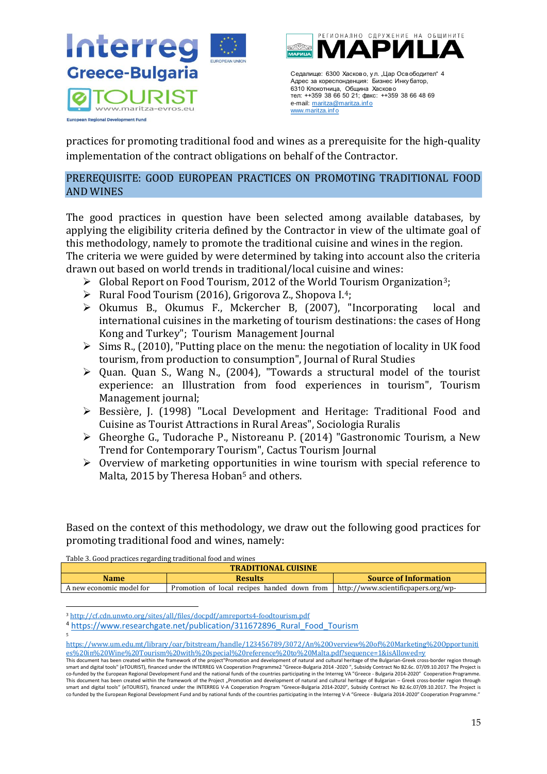



6310 Клокотница, Община Хасково тел: ++359 38 66 50 21; факс: ++359 38 66 48 69 e-mail: maritza@maritza.info www.maritza.inf o

practices for promoting traditional food and wines as a prerequisite for the high-quality implementation of the contract obligations on behalf of the Contractor.

# <span id="page-14-0"></span>PREREQUISITE: GOOD EUROPEAN PRACTICES ON PROMOTING TRADITIONAL FOOD AND WINES

Ceannum 6500 *Newtons*, yn , Llep Cean-General veces - Busine Cean-Associal Cean-Associal Cean-Associal Cean-Associal Cean-Associal Cean-Associal Cean-Associal Cean-Associal Cean-Associal Cean-Associal Cean-Associal Cean-The good practices in question have been selected among available databases, by applying the eligibility criteria defined by the Contractor in view of the ultimate goal of this methodology, namely to promote the traditional cuisine and wines in the region.

The criteria we were guided by were determined by taking into account also the criteria drawn out based on world trends in traditional/local cuisine and wines:

- $\triangleright$  Global Report on Food Tourism, 2012 of the World Tourism Organization<sup>3</sup>;
- $\triangleright$  Rural Food Tourism (2016), Grigorova Z., Shopova I.<sup>4</sup>;
- ➢ Okumus B., Okumus F., Mckercher B, (2007), "Incorporating local and international cuisines in the marketing of tourism destinations: the cases of Hong Kong and Turkey"; Tourism Management Journal
- $\triangleright$  Sims R., (2010), "Putting place on the menu: the negotiation of locality in UK food tourism, from production to consumption", Journal of Rural Studies
- ➢ Quan. Quan S., Wang N., (2004), "Towards a structural model of the tourist experience: an Illustration from food experiences in tourism", Tourism Management journal;
- ➢ Bessière, J. (1998) "Local Development and Heritage: Traditional Food and Cuisine as Tourist Attractions in Rural Areas", Sociologia Ruralis
- ➢ Gheorghe G., Tudorache P., Nistoreanu P. (2014) "Gastronomic Tourism, a New Trend for Contemporary Tourism", Cactus Tourism Journal
- ➢ Overview of marketing opportunities in wine tourism with special reference to Malta, 2015 by Theresa Hoban<sup>5</sup> and others.

Based on the context of this methodology, we draw out the following good practices for promoting traditional food and wines, namely:

Table 3. Good practices regarding traditional food and wines

| <b>TRADITIONAL CUISINE</b> |                                             |                                     |
|----------------------------|---------------------------------------------|-------------------------------------|
| <b>Name</b>                | <b>Results</b>                              | <b>Source of Information</b>        |
| A new economic model for   | Promotion of local recipes handed down from | http://www.scientificpapers.org/wp- |

<sup>3</sup> <http://cf.cdn.unwto.org/sites/all/files/docpdf/amreports4-foodtourism.pdf>

<sup>&</sup>lt;sup>4</sup> [https://www.researchgate.net/publication/311672896\\_Rural\\_Food\\_Tourism](https://www.researchgate.net/publication/311672896_Rural_Food_Tourism)

<sup>5</sup> [https://www.um.edu.mt/library/oar/bitstream/handle/123456789/3072/An%20Overview%20of%20Marketing%20Opportuniti](https://www.um.edu.mt/library/oar/bitstream/handle/123456789/3072/An%20Overview%20of%20Marketing%20Opportunities%20in%20Wine%20Tourism%20with%20special%20reference%20to%20Malta.pdf?sequence=1&isAllowed=y) [es%20in%20Wine%20Tourism%20with%20special%20reference%20to%20Malta.pdf?sequence=1&isAllowed=y](https://www.um.edu.mt/library/oar/bitstream/handle/123456789/3072/An%20Overview%20of%20Marketing%20Opportunities%20in%20Wine%20Tourism%20with%20special%20reference%20to%20Malta.pdf?sequence=1&isAllowed=y)

This document has been created within the framework of the project"Promotion and development of natural and cultural heritage of the Bulgarian-Greek cross-border region through smart and digital tools" (eTOURIST), financed under the INTERREG VA Cooperation Programme2 "Greece-Bulgaria 2014 -2020 ", Subsidy Contract No B2.6c. 07/09.10.2017 The Project is co-funded by the European Regional Development Fund and the national funds of the countries participating in the Interreg VA "Greece - Bulgaria 2014-2020" Cooperation Programme.<br>This document has been created within the fr smart and digital tools" (eTOURIST), financed under the INTERREG V-A Cooperation Program "Greece-Bulgaria 2014-2020", Subsidy Contract No В2.6с.07/09.10.2017. The Project is co funded by the European Regional Development Fund and by national funds of the countries participating in the Interreg V-A "Greece - Bulgaria 2014-2020" Cooperation Programme.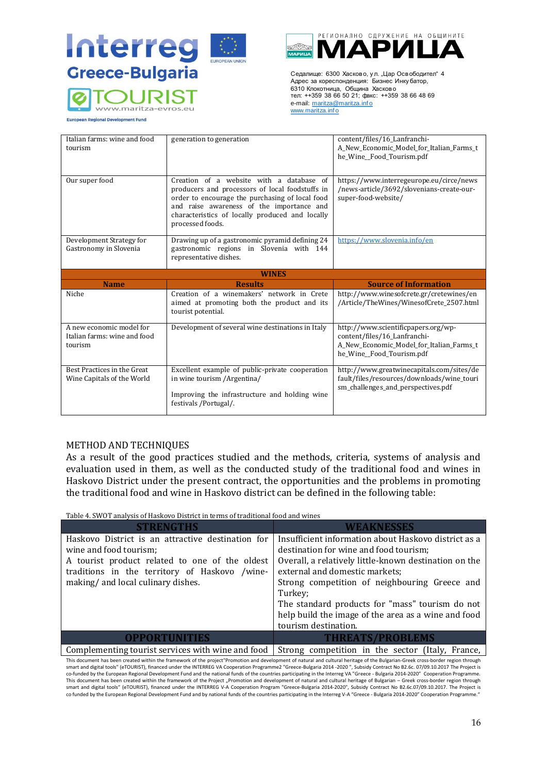



| Greece-Bulgaria                                                                                                                                                                                                                                                                                                                                                      |                                                                                              |                                                  | Седалище: 6300 Хасково, ул. "Цар Освободител" 4<br>Адрес за кореспонденция: Бизнес Инку батор,                                                                                   |
|----------------------------------------------------------------------------------------------------------------------------------------------------------------------------------------------------------------------------------------------------------------------------------------------------------------------------------------------------------------------|----------------------------------------------------------------------------------------------|--------------------------------------------------|----------------------------------------------------------------------------------------------------------------------------------------------------------------------------------|
|                                                                                                                                                                                                                                                                                                                                                                      |                                                                                              |                                                  | 6310 Клокотница, Община Хасково                                                                                                                                                  |
|                                                                                                                                                                                                                                                                                                                                                                      |                                                                                              |                                                  | тел: ++359 38 66 50 21; факс: ++359 38 66 48 69                                                                                                                                  |
|                                                                                                                                                                                                                                                                                                                                                                      |                                                                                              | e-mail: maritza@maritza.info<br>www.maritza.info |                                                                                                                                                                                  |
| <b>European Regional Development Fund</b>                                                                                                                                                                                                                                                                                                                            |                                                                                              |                                                  |                                                                                                                                                                                  |
|                                                                                                                                                                                                                                                                                                                                                                      |                                                                                              |                                                  |                                                                                                                                                                                  |
| Italian farms: wine and food                                                                                                                                                                                                                                                                                                                                         | generation to generation                                                                     |                                                  | content/files/16_Lanfranchi-                                                                                                                                                     |
| tourism                                                                                                                                                                                                                                                                                                                                                              |                                                                                              |                                                  | A_New_Economic_Model_for_Italian_Farms_t                                                                                                                                         |
|                                                                                                                                                                                                                                                                                                                                                                      |                                                                                              |                                                  | he_Wine_Food_Tourism.pdf                                                                                                                                                         |
|                                                                                                                                                                                                                                                                                                                                                                      |                                                                                              |                                                  |                                                                                                                                                                                  |
| Our super food                                                                                                                                                                                                                                                                                                                                                       | Creation of a website with a database                                                        | of                                               | https://www.interregeurope.eu/circe/news                                                                                                                                         |
|                                                                                                                                                                                                                                                                                                                                                                      | producers and processors of local foodstuffs in                                              |                                                  | /news-article/3692/slovenians-create-our-                                                                                                                                        |
|                                                                                                                                                                                                                                                                                                                                                                      | order to encourage the purchasing of local food<br>and raise awareness of the importance and |                                                  | super-food-website/                                                                                                                                                              |
|                                                                                                                                                                                                                                                                                                                                                                      | characteristics of locally produced and locally                                              |                                                  |                                                                                                                                                                                  |
|                                                                                                                                                                                                                                                                                                                                                                      | processed foods.                                                                             |                                                  |                                                                                                                                                                                  |
|                                                                                                                                                                                                                                                                                                                                                                      |                                                                                              |                                                  |                                                                                                                                                                                  |
| Development Strategy for                                                                                                                                                                                                                                                                                                                                             | Drawing up of a gastronomic pyramid defining 24                                              |                                                  | https://www.slovenia.info/en                                                                                                                                                     |
| Gastronomy in Slovenia                                                                                                                                                                                                                                                                                                                                               | gastronomic regions in Slovenia with 144                                                     |                                                  |                                                                                                                                                                                  |
|                                                                                                                                                                                                                                                                                                                                                                      | representative dishes.                                                                       |                                                  |                                                                                                                                                                                  |
|                                                                                                                                                                                                                                                                                                                                                                      | <b>WINES</b>                                                                                 |                                                  |                                                                                                                                                                                  |
| <b>Name</b>                                                                                                                                                                                                                                                                                                                                                          | <b>Results</b>                                                                               |                                                  | <b>Source of Information</b>                                                                                                                                                     |
| Niche                                                                                                                                                                                                                                                                                                                                                                | Creation of a winemakers' network in Crete                                                   |                                                  | http://www.winesofcrete.gr/cretewines/en                                                                                                                                         |
|                                                                                                                                                                                                                                                                                                                                                                      | aimed at promoting both the product and its                                                  |                                                  | /Article/TheWines/WinesofCrete_2507.html                                                                                                                                         |
|                                                                                                                                                                                                                                                                                                                                                                      | tourist potential.                                                                           |                                                  |                                                                                                                                                                                  |
| A new economic model for                                                                                                                                                                                                                                                                                                                                             | Development of several wine destinations in Italy                                            |                                                  | http://www.scientificpapers.org/wp-                                                                                                                                              |
| Italian farms: wine and food                                                                                                                                                                                                                                                                                                                                         |                                                                                              |                                                  | content/files/16_Lanfranchi-                                                                                                                                                     |
| tourism                                                                                                                                                                                                                                                                                                                                                              |                                                                                              |                                                  | A_New_Economic_Model_for_Italian_Farms_t                                                                                                                                         |
|                                                                                                                                                                                                                                                                                                                                                                      |                                                                                              |                                                  | he_Wine_Food_Tourism.pdf                                                                                                                                                         |
| Best Practices in the Great                                                                                                                                                                                                                                                                                                                                          | Excellent example of public-private cooperation                                              |                                                  | http://www.greatwinecapitals.com/sites/de                                                                                                                                        |
| Wine Capitals of the World                                                                                                                                                                                                                                                                                                                                           | in wine tourism / Argentina/                                                                 |                                                  | fault/files/resources/downloads/wine_touri                                                                                                                                       |
|                                                                                                                                                                                                                                                                                                                                                                      |                                                                                              |                                                  | sm_challenges_and_perspectives.pdf                                                                                                                                               |
|                                                                                                                                                                                                                                                                                                                                                                      | Improving the infrastructure and holding wine                                                |                                                  |                                                                                                                                                                                  |
|                                                                                                                                                                                                                                                                                                                                                                      | festivals / Portugal/.                                                                       |                                                  |                                                                                                                                                                                  |
|                                                                                                                                                                                                                                                                                                                                                                      |                                                                                              |                                                  |                                                                                                                                                                                  |
|                                                                                                                                                                                                                                                                                                                                                                      |                                                                                              |                                                  |                                                                                                                                                                                  |
|                                                                                                                                                                                                                                                                                                                                                                      |                                                                                              |                                                  |                                                                                                                                                                                  |
| METHOD AND TECHNIQUES                                                                                                                                                                                                                                                                                                                                                |                                                                                              |                                                  |                                                                                                                                                                                  |
|                                                                                                                                                                                                                                                                                                                                                                      |                                                                                              |                                                  | As a result of the good practices studied and the methods, criteria, systems of analysis and                                                                                     |
|                                                                                                                                                                                                                                                                                                                                                                      |                                                                                              |                                                  | evaluation used in them, as well as the conducted study of the traditional food and wines in                                                                                     |
|                                                                                                                                                                                                                                                                                                                                                                      |                                                                                              |                                                  | Haskovo District under the present contract, the opportunities and the problems in promoting                                                                                     |
|                                                                                                                                                                                                                                                                                                                                                                      | the traditional food and wine in Haskovo district can be defined in the following table:     |                                                  |                                                                                                                                                                                  |
|                                                                                                                                                                                                                                                                                                                                                                      |                                                                                              |                                                  |                                                                                                                                                                                  |
|                                                                                                                                                                                                                                                                                                                                                                      | Table 4. SWOT analysis of Haskovo District in terms of traditional food and wines            |                                                  |                                                                                                                                                                                  |
|                                                                                                                                                                                                                                                                                                                                                                      | <b>STRENGTHS</b>                                                                             |                                                  | <b>WEAKNESSES</b>                                                                                                                                                                |
|                                                                                                                                                                                                                                                                                                                                                                      |                                                                                              |                                                  |                                                                                                                                                                                  |
|                                                                                                                                                                                                                                                                                                                                                                      | Haskovo District is an attractive destination for                                            |                                                  | Insufficient information about Haskovo district as a                                                                                                                             |
| wine and food tourism;                                                                                                                                                                                                                                                                                                                                               |                                                                                              |                                                  | destination for wine and food tourism;                                                                                                                                           |
|                                                                                                                                                                                                                                                                                                                                                                      | A tourist product related to one of the oldest                                               |                                                  | Overall, a relatively little-known destination on the                                                                                                                            |
|                                                                                                                                                                                                                                                                                                                                                                      | traditions in the territory of Haskovo /wine-                                                |                                                  | external and domestic markets;                                                                                                                                                   |
| making/ and local culinary dishes.                                                                                                                                                                                                                                                                                                                                   |                                                                                              |                                                  | Strong competition of neighbouring Greece and                                                                                                                                    |
|                                                                                                                                                                                                                                                                                                                                                                      |                                                                                              | Turkey;                                          |                                                                                                                                                                                  |
|                                                                                                                                                                                                                                                                                                                                                                      |                                                                                              |                                                  | The standard products for "mass" tourism do not                                                                                                                                  |
|                                                                                                                                                                                                                                                                                                                                                                      |                                                                                              |                                                  | help build the image of the area as a wine and food                                                                                                                              |
|                                                                                                                                                                                                                                                                                                                                                                      |                                                                                              | tourism destination.                             |                                                                                                                                                                                  |
|                                                                                                                                                                                                                                                                                                                                                                      | <b>OPPORTUNITIES</b>                                                                         |                                                  | <b>THREATS/PROBLEMS</b>                                                                                                                                                          |
|                                                                                                                                                                                                                                                                                                                                                                      | Complementing tourist services with wine and food                                            |                                                  | Strong competition in the sector (Italy, France,                                                                                                                                 |
|                                                                                                                                                                                                                                                                                                                                                                      |                                                                                              |                                                  | This document has been created within the framework of the project"Promotion and development of natural and cultural heritage of the Bulgarian-Greek cross-border region through |
|                                                                                                                                                                                                                                                                                                                                                                      |                                                                                              |                                                  | smart and digital tools" (eTOURIST), financed under the INTERREG VA Cooperation Programme2 "Greece-Bulgaria 2014 -2020", Subsidy Contract No B2.6c. 07/09.10.2017 The Project is |
| co-funded by the European Regional Development Fund and the national funds of the countries participating in the Interreg VA "Greece - Bulgaria 2014-2020" Cooperation Programme.<br>This document has been created within the framework of the Project "Promotion and development of natural and cultural heritage of Bulgarian - Greek cross-border region through |                                                                                              |                                                  |                                                                                                                                                                                  |
| smart and digital tools" (eTOURIST), financed under the INTERREG V-A Cooperation Program "Greece-Bulgaria 2014-2020", Subsidy Contract No B2.6c.07/09.10.2017. The Project is<br>co funded by the European Regional Development Fund and by national funds of the countries participating in the Interreg V-A "Greece - Bulgaria 2014-2020" Cooperation Programme."  |                                                                                              |                                                  |                                                                                                                                                                                  |
|                                                                                                                                                                                                                                                                                                                                                                      |                                                                                              |                                                  |                                                                                                                                                                                  |
|                                                                                                                                                                                                                                                                                                                                                                      |                                                                                              |                                                  |                                                                                                                                                                                  |
|                                                                                                                                                                                                                                                                                                                                                                      |                                                                                              |                                                  | 16                                                                                                                                                                               |

#### METHOD AND TECHNIQUES

| <b>STRENGTHS</b>                                                                                                              | WEAKNESSES                                                                                                                                              |
|-------------------------------------------------------------------------------------------------------------------------------|---------------------------------------------------------------------------------------------------------------------------------------------------------|
| Haskovo District is an attractive destination for<br>wine and food tourism;<br>A tourist product related to one of the oldest | Insufficient information about Haskovo district as a<br>destination for wine and food tourism;<br>Overall, a relatively little-known destination on the |
| traditions in the territory of Haskovo /wine-<br>making/ and local culinary dishes.                                           | external and domestic markets;<br>Strong competition of neighbouring Greece and<br>Turkey;                                                              |
|                                                                                                                               | The standard products for "mass" tourism do not<br>help build the image of the area as a wine and food<br>tourism destination.                          |
| <b>OPPORTUNITIES</b>                                                                                                          | <b>THREATS/PROBLEMS</b>                                                                                                                                 |
| Complementing tourist services with wine and food                                                                             | Strong competition in the sector (Italy, France,                                                                                                        |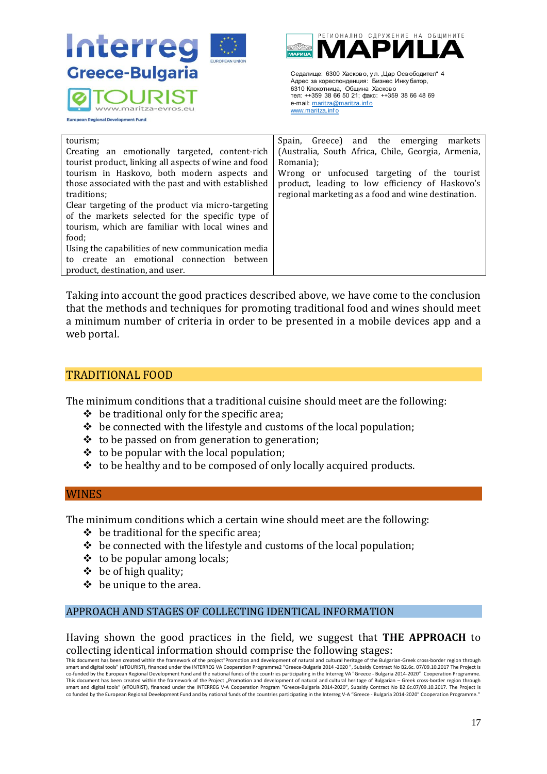

| Greece-Bulgaria                                                                                                                                                                                                                                                                                                                                                                                                                                                                                                                                                                                                                                                                                                                                                                                                                                                                                                                                                                                                                                                                                                                                                                                                                                                                       | Седалище: 6300 Хасково, ул. "Цар Освободител" 4<br>Адрес за кореспонденция: Бизнес Инку батор,<br>6310 Клокотница, Община Хасково<br>тел: ++359 38 66 50 21; факс: ++359 38 66 48 69                                                                                           |  |
|---------------------------------------------------------------------------------------------------------------------------------------------------------------------------------------------------------------------------------------------------------------------------------------------------------------------------------------------------------------------------------------------------------------------------------------------------------------------------------------------------------------------------------------------------------------------------------------------------------------------------------------------------------------------------------------------------------------------------------------------------------------------------------------------------------------------------------------------------------------------------------------------------------------------------------------------------------------------------------------------------------------------------------------------------------------------------------------------------------------------------------------------------------------------------------------------------------------------------------------------------------------------------------------|--------------------------------------------------------------------------------------------------------------------------------------------------------------------------------------------------------------------------------------------------------------------------------|--|
| <b>European Regional Development Fund</b>                                                                                                                                                                                                                                                                                                                                                                                                                                                                                                                                                                                                                                                                                                                                                                                                                                                                                                                                                                                                                                                                                                                                                                                                                                             | e-mail: maritza@maritza.info<br>www.maritza.info                                                                                                                                                                                                                               |  |
| tourism;<br>Creating an emotionally targeted, content-rich<br>tourist product, linking all aspects of wine and food<br>tourism in Haskovo, both modern aspects and<br>those associated with the past and with established<br>traditions;<br>Clear targeting of the product via micro-targeting<br>of the markets selected for the specific type of<br>tourism, which are familiar with local wines and<br>food;<br>Using the capabilities of new communication media<br>to create an emotional connection between<br>product, destination, and user.                                                                                                                                                                                                                                                                                                                                                                                                                                                                                                                                                                                                                                                                                                                                  | Spain,<br>Greece)<br>and the<br>emerging<br>markets<br>(Australia, South Africa, Chile, Georgia, Armenia,<br>Romania);<br>Wrong or unfocused targeting of the tourist<br>product, leading to low efficiency of Haskovo's<br>regional marketing as a food and wine destination. |  |
| Taking into account the good practices described above, we have come to the conclusion<br>that the methods and techniques for promoting traditional food and wines should meet<br>a minimum number of criteria in order to be presented in a mobile devices app and a<br>web portal.                                                                                                                                                                                                                                                                                                                                                                                                                                                                                                                                                                                                                                                                                                                                                                                                                                                                                                                                                                                                  |                                                                                                                                                                                                                                                                                |  |
| <b>TRADITIONAL FOOD</b>                                                                                                                                                                                                                                                                                                                                                                                                                                                                                                                                                                                                                                                                                                                                                                                                                                                                                                                                                                                                                                                                                                                                                                                                                                                               |                                                                                                                                                                                                                                                                                |  |
| The minimum conditions that a traditional cuisine should meet are the following:<br>be traditional only for the specific area;<br>❖<br>be connected with the lifestyle and customs of the local population;<br>❖<br>to be passed on from generation to generation;<br>❖<br>to be popular with the local population;<br>❖<br>to be healthy and to be composed of only locally acquired products.<br>❖                                                                                                                                                                                                                                                                                                                                                                                                                                                                                                                                                                                                                                                                                                                                                                                                                                                                                  |                                                                                                                                                                                                                                                                                |  |
| <b>WINES</b>                                                                                                                                                                                                                                                                                                                                                                                                                                                                                                                                                                                                                                                                                                                                                                                                                                                                                                                                                                                                                                                                                                                                                                                                                                                                          |                                                                                                                                                                                                                                                                                |  |
| The minimum conditions which a certain wine should meet are the following:<br>be traditional for the specific area;<br>❖<br>be connected with the lifestyle and customs of the local population;<br>❖<br>to be popular among locals;<br>❖<br>❖<br>be of high quality;<br>be unique to the area.                                                                                                                                                                                                                                                                                                                                                                                                                                                                                                                                                                                                                                                                                                                                                                                                                                                                                                                                                                                       |                                                                                                                                                                                                                                                                                |  |
| APPROACH AND STAGES OF COLLECTING IDENTICAL INFORMATION                                                                                                                                                                                                                                                                                                                                                                                                                                                                                                                                                                                                                                                                                                                                                                                                                                                                                                                                                                                                                                                                                                                                                                                                                               |                                                                                                                                                                                                                                                                                |  |
| Having shown the good practices in the field, we suggest that <b>THE APPROACH</b> to<br>collecting identical information should comprise the following stages:<br>This document has been created within the framework of the project"Promotion and development of natural and cultural heritage of the Bulgarian-Greek cross-border region through<br>smart and digital tools" (eTOURIST), financed under the INTERREG VA Cooperation Programme2 "Greece-Bulgaria 2014 -2020", Subsidy Contract No B2.6c. 07/09.10.2017 The Project is<br>co-funded by the European Regional Development Fund and the national funds of the countries participating in the Interreg VA "Greece - Bulgaria 2014-2020" Cooperation Programme.<br>This document has been created within the framework of the Project "Promotion and development of natural and cultural heritage of Bulgarian - Greek cross-border region through<br>smart and digital tools" (eTOURIST), financed under the INTERREG V-A Cooperation Program "Greece-Bulgaria 2014-2020", Subsidy Contract No B2.6c.07/09.10.2017. The Project is<br>co funded by the European Regional Development Fund and by national funds of the countries participating in the Interreg V-A "Greece - Bulgaria 2014-2020" Cooperation Programme." |                                                                                                                                                                                                                                                                                |  |
|                                                                                                                                                                                                                                                                                                                                                                                                                                                                                                                                                                                                                                                                                                                                                                                                                                                                                                                                                                                                                                                                                                                                                                                                                                                                                       | 17                                                                                                                                                                                                                                                                             |  |

# <span id="page-16-0"></span>TRADITIONAL FOOD

- $\div$  be traditional only for the specific area;
- $\triangleq$  be connected with the lifestyle and customs of the local population;
- ❖ to be passed on from generation to generation;
- $\triangle$  to be popular with the local population;
- $\triangleq$  to be healthy and to be composed of only locally acquired products.

## <span id="page-16-1"></span>WINES

- ❖ be traditional for the specific area;
- $\triangle$  be connected with the lifestyle and customs of the local population;
- $\div$  to be popular among locals;
- $\div$  be of high quality;
- $\div$  be unique to the area.

## <span id="page-16-2"></span>APPROACH AND STAGES OF COLLECTING IDENTICAL INFORMATION

This document has been created within the framework of the project"Promotion and development of natural and cultural heritage of the Bulgarian-Greek cross-border region through smart and digital tools" (eTOURIST), financed under the INTERREG VA Cooperation Programme2 "Greece-Bulgaria 2014 -2020 ", Subsidy Contract No B2.6c. 07/09.10.2017 The Project is co-funded by the European Regional Development Fund and the national funds of the countries participating in the Interreg VA "Greece - Bulgaria 2014-2020" Cooperation Programme.<br>This document has been created within the fr smart and digital tools" (eTOURIST), financed under the INTERREG V-A Cooperation Program "Greece-Bulgaria 2014-2020", Subsidy Contract No B2.6c.07/09.10.2017. The Project is co funded by the European Regional Development Fund and by national funds of the countries participating in the Interreg V-A "Greece - Bulgaria 2014-2020" Cooperation Programme."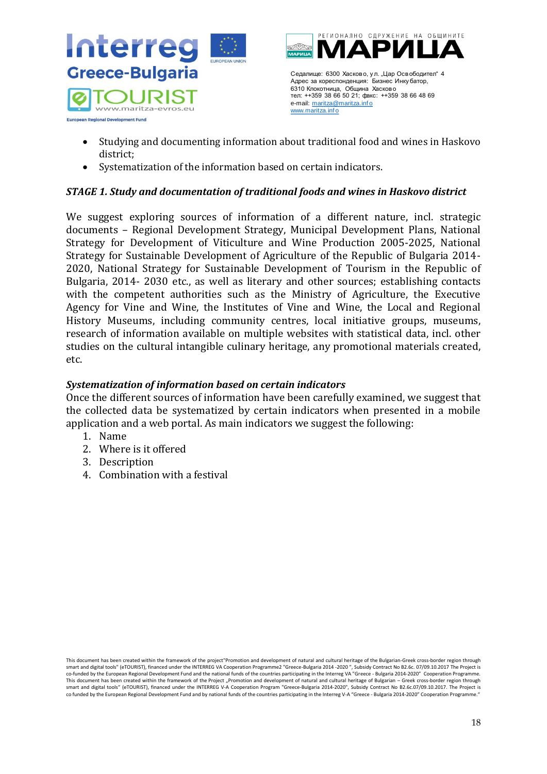

- Studying and documenting information about traditional food and wines in Haskovo district;
- Systematization of the information based on certain indicators.

# *STAGE 1. Study and documentation of traditional foods and wines in Haskovo district*

Ceannum 6500 *Newtons*, yn, Llap Cenedomern"<br>
Ceares an oppenbence plane, benedomer Mongtons,<br>
Then the standard manipulation<br>
on the main manipulation<br>
on the main manipulation<br>
on the main manipulation<br>
on the main mani We suggest exploring sources of information of a different nature, incl. strategic documents – Regional Development Strategy, Municipal Development Plans, National Strategy for Development of Viticulture and Wine Production 2005-2025, National Strategy for Sustainable Development of Agriculture of the Republic of Bulgaria 2014- 2020, National Strategy for Sustainable Development of Tourism in the Republic of Bulgaria, 2014- 2030 etc., as well as literary and other sources; establishing contacts with the competent authorities such as the Ministry of Agriculture, the Executive Agency for Vine and Wine, the Institutes of Vine and Wine, the Local and Regional History Museums, including community centres, local initiative groups, museums, research of information available on multiple websites with statistical data, incl. other studies on the cultural intangible culinary heritage, any promotional materials created, etc.

## *Systematization of information based on certain indicators*

Once the different sources of information have been carefully examined, we suggest that the collected data be systematized by certain indicators when presented in a mobile application and a web portal. As main indicators we suggest the following:

- 1. Name
- 2. Where is it offered
- 3. Description
- 4. Combination with a festival

This document has been created within the framework of the project"Promotion and development of natural and cultural heritage of the Bulgarian-Greek cross-border region through smart and digital tools" (eTOURIST), financed under the INTERREG VA Cooperation Programme2 "Greece-Bulgaria 2014 -2020 ", Subsidy Contract No B2.6c. 07/09.10.2017 The Project is co-funded by the European Regional Development Fund and the national funds of the countries participating in the Interreg VA "Greece - Bulgaria 2014-2020" Cooperation Programme. This document has been created within the framework of the Project "Promotion and development of natural and cultural heritage of Bulgarian – Greek cross-border region through smart and digital tools" (eTOURIST), financed under the INTERREG V-A Cooperation Program "Greece-Bulgaria 2014-2020", Subsidy Contract No B2.6c.07/09.10.2017. The Project is co funded by the European Regional Development Fund and by national funds of the countries participating in the Interreg V-A "Greece - Bulgaria 2014-2020" Cooperation Programme.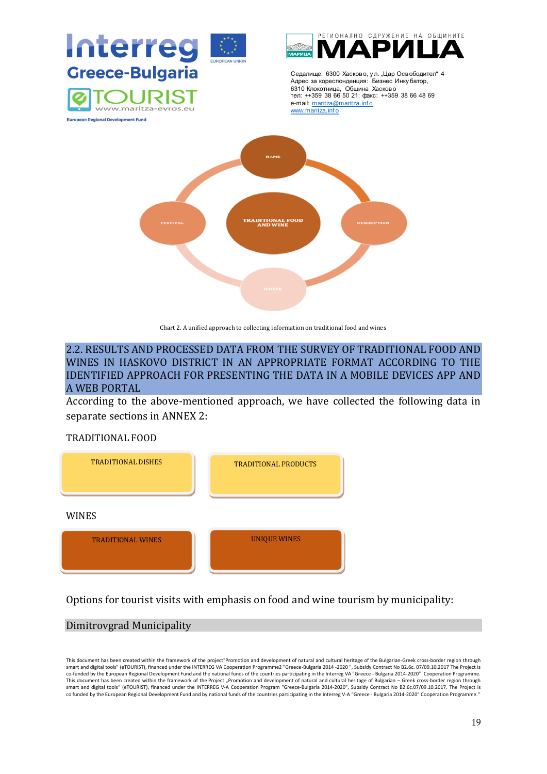

Chart 2. A unified approach to collecting information on traditional food and wines

<span id="page-18-0"></span>2.2. RESULTS AND PROCESSED DATA FROM THE SURVEY OF TRADITIONAL FOOD AND WINES IN HASKOVO DISTRICT IN AN APPROPRIATE FORMAT ACCORDING TO THE IDENTIFIED APPROACH FOR PRESENTING THE DATA IN A MOBILE DEVICES APP AND A WEB PORTAL

According to the above-mentioned approach, we have collected the following data in separate sections in ANNEX 2:

## TRADITIONAL FOOD



Options for tourist visits with emphasis on food and wine tourism by municipality:

## Dimitrovgrad Municipality

This document has been created within the framework of the project"Promotion and development of natural and cultural heritage of the Bulgarian-Greek cross-border region through smart and digital tools" (eTOURIST), financed under the INTERREG VA Cooperation Programme2 "Greece-Bulgaria 2014 -2020 ", Subsidy Contract No B2.6c. 07/09.10.2017 The Project is<br>co-funded by the European Regional Developme co funded by the European Regional Development Fund and by national funds of the countries participating in the Interreg V-A "Greece - Bulgaria 2014-2020" Cooperation Programme."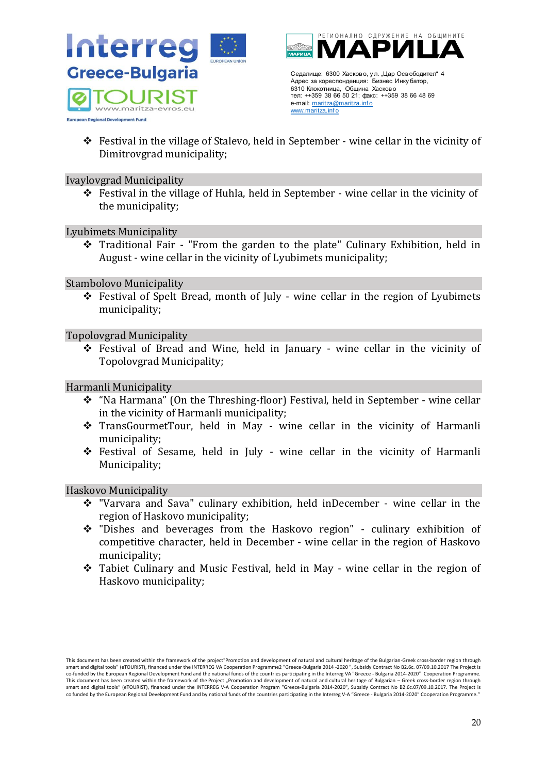



Адрес за кореспонденция: Бизнес Инку батор, 6310 Клокотница, Община Хасково тел: ++359 38 66 50 21; факс: ++359 38 66 48 69 e-mail: maritza@maritza.info www.maritza.inf o

❖ Festival in the village of Stalevo, held in September - wine cellar in the vicinity of Dimitrovgrad municipality;

## Ivaylovgrad Municipality

❖ Festival in the village of Huhla, held in September - wine cellar in the vicinity of the municipality;

Lyubimets Municipality

❖ Traditional Fair - "From the garden to the plate" Culinary Exhibition, held in August - wine cellar in the vicinity of Lyubimets municipality;

## Stambolovo Municipality

 $\div$  Festival of Spelt Bread, month of July - wine cellar in the region of Lyubimets municipality;

## Topolovgrad Municipality

❖ Festival of Bread and Wine, held in January - wine cellar in the vicinity of Topolovgrad Municipality;

## Harmanli Municipality

- ❖ "Na Harmana" (On the Threshing-floor) Festival, held in September wine cellar in the vicinity of Harmanli municipality;
- ❖ TransGourmetTour, held in May wine cellar in the vicinity of Harmanli municipality;
- ❖ Festival of Sesame, held in July wine cellar in the vicinity of Harmanli Municipality;

## Haskovo Municipality

- ❖ "Varvara and Sava" culinary exhibition, held inDecember wine cellar in the region of Haskovo municipality;
- ❖ "Dishes and beverages from the Haskovo region" culinary exhibition of competitive character, held in December - wine cellar in the region of Haskovo municipality;
- ❖ Tabiet Culinary and Music Festival, held in May wine cellar in the region of Haskovo municipality;

This document has been created within the framework of the project"Promotion and development of natural and cultural heritage of the Bulgarian-Greek cross-border region through smart and digital tools" (eTOURIST), financed under the INTERREG VA Cooperation Programme2 "Greece-Bulgaria 2014 -2020 ", Subsidy Contract No B2.6c. 07/09.10.2017 The Project is co-funded by the European Regional Development Fund and the national funds of the countries participating in the Interreg VA "Greece - Bulgaria 2014-2020" Cooperation Programme. This document has been created within the framework of the Project "Promotion and development of natural and cultural heritage of Bulgarian – Greek cross-border region through smart and digital tools" (eTOURIST), financed under the INTERREG V-A Cooperation Program "Greece-Bulgaria 2014-2020", Subsidy Contract No B2.6c.07/09.10.2017. The Project is co funded by the European Regional Development Fund and by national funds of the countries participating in the Interreg V-A "Greece - Bulgaria 2014-2020" Cooperation Programme. 20 Centrum 5000 *Newtons* yn , Llep Centrology - 100 Centrology - 100 Centrology - 20<br>
Newton a month of the main matrix and centrology and centrology and centrology and centrology and centrology and centrology and centr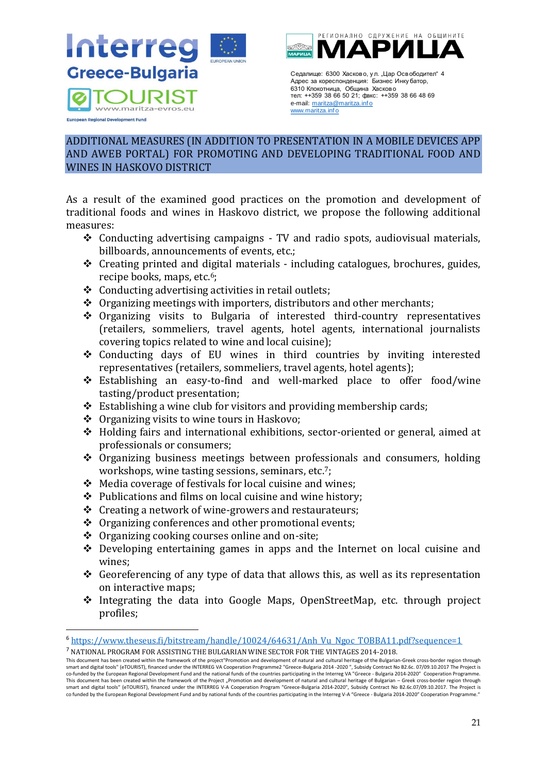



Адрес за кореспонденция: Бизнес Инку батор, 6310 Клокотница, Община Хасково тел: ++359 38 66 50 21; факс: ++359 38 66 48 69 e-mail: maritza@maritza.info www.maritza.inf o

# <span id="page-20-0"></span>ADDITIONAL MEASURES (IN ADDITION TO PRESENTATION IN A MOBILE DEVICES APP AND AWEB PORTAL) FOR PROMOTING AND DEVELOPING TRADITIONAL FOOD AND WINES IN HASKOVO DISTRICT

As a result of the examined good practices on the promotion and development of traditional foods and wines in Haskovo district, we propose the following additional measures:

- ❖ Conducting advertising campaigns TV and radio spots, audiovisual materials, billboards, announcements of events, etc.;
- ❖ Creating printed and digital materials including catalogues, brochures, guides, recipe books, maps, etc.<sup>6</sup>;
- ❖ Conducting advertising activities in retail outlets;
- ❖ Organizing meetings with importers, distributors and other merchants;
- ❖ Organizing visits to Bulgaria of interested third-country representatives (retailers, sommeliers, travel agents, hotel agents, international journalists covering topics related to wine and local cuisine);
- ❖ Conducting days of EU wines in third countries by inviting interested representatives (retailers, sommeliers, travel agents, hotel agents);
- ❖ Establishing an easy-to-find and well-marked place to offer food/wine tasting/product presentation;
- ❖ Establishing a wine club for visitors and providing membership cards;
- ❖ Organizing visits to wine tours in Haskovo;
- ❖ Holding fairs and international exhibitions, sector-oriented or general, aimed at professionals or consumers;
- ❖ Organizing business meetings between professionals and consumers, holding workshops, wine tasting sessions, seminars, etc.<sup>7</sup>;
- ❖ Media coverage of festivals for local cuisine and wines;
- ❖ Publications and films on local cuisine and wine history;
- ❖ Creating a network of wine-growers and restaurateurs;
- ❖ Organizing conferences and other promotional events;
- ❖ Organizing cooking courses online and on-site;
- ❖ Developing entertaining games in apps and the Internet on local cuisine and wines;
- $\triangleleft$  Georeferencing of any type of data that allows this, as well as its representation on interactive maps;
- ❖ Integrating the data into Google Maps, OpenStreetMap, etc. through project profiles;

<sup>6</sup> [https://www.theseus.fi/bitstream/handle/10024/64631/Anh\\_Vu\\_Ngoc\\_TOBBA11.pdf?sequence=1](https://www.theseus.fi/bitstream/handle/10024/64631/Anh_Vu_Ngoc_TOBBA11.pdf?sequence=1)

<sup>7</sup> NATIONAL PROGRAM FOR ASSISTING THE BULGARIAN WINE SECTOR FOR THE VINTAGES 2014-2018.

This document has been created within the framework of the project"Promotion and development of natural and cultural heritage of the Bulgarian-Greek cross-border region through smart and digital tools" (eTOURIST), financed under the INTERREG VA Cooperation Programme2 "Greece-Bulgaria 2014 -2020 ", Subsidy Contract No B2.6c. 07/09.10.2017 The Project is co-funded by the European Regional Development Fund and the national funds of the countries participating in the Interreg VA "Greece - Bulgaria 2014-2020″ Cooperation Programme.<br>This document has been created within the fr co funded by the European Regional Development Fund and by national funds of the countries participating in the Interreg V-A "Greece - Bulgaria 2014-2020" Cooperation Programme. Cearance 5000 *Newtons*, yn, Llap OceraCearance and the mentrices and the properties in the mentrices of the mentrices of the mentrices of the mentrices of the mentrices of the mentrices of the mentrices of the mentrices o